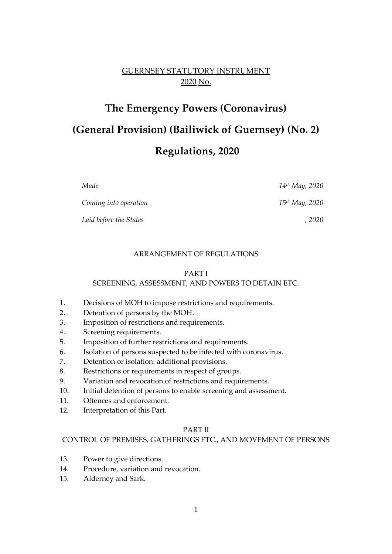## GUERNSEY STATUTORY INSTRUMENT 2020 No.

# **The Emergency Powers (Coronavirus) (General Provision) (Bailiwick of Guernsey) (No. 2) Regulations, 2020**

*Made 14th May, 2020 Coming into operation 15th May, 2020 Laid before the States , 2020*

#### ARRANGEMENT OF REGULATIONS

#### PART I

#### SCREENING, ASSESSMENT, AND POWERS TO DETAIN ETC.

- 1. Decisions of MOH to impose restrictions and requirements.
- 2. Detention of persons by the MOH.
- 3. Imposition of restrictions and requirements.
- 4. Screening requirements.
- 5. Imposition of further restrictions and requirements.
- 6. Isolation of persons suspected to be infected with coronavirus.
- 7. Detention or isolation: additional provisions.
- 8. Restrictions or requirements in respect of groups.
- 9. Variation and revocation of restrictions and requirements.
- 10. Initial detention of persons to enable screening and assessment.
- 11. Offences and enforcement.
- 12. Interpretation of this Part.

## PART II

#### CONTROL OF PREMISES, GATHERINGS ETC., AND MOVEMENT OF PERSONS

- 13. Power to give directions.
- 14. Procedure, variation and revocation.
- 15. Alderney and Sark.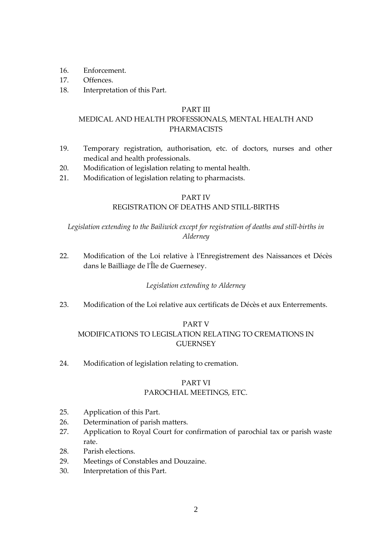- 16. Enforcement.
- 17. Offences.
- 18. Interpretation of this Part.

#### PART III

## MEDICAL AND HEALTH PROFESSIONALS, MENTAL HEALTH AND PHARMACISTS

- 19. Temporary registration, authorisation, etc. of doctors, nurses and other medical and health professionals.
- 20. Modification of legislation relating to mental health.
- 21. Modification of legislation relating to pharmacists.

## PART IV

## REGISTRATION OF DEATHS AND STILL-BIRTHS

## *Legislation extending to the Bailiwick except for registration of deaths and still-births in Alderney*

22. Modification of the Loi relative à l'Enregistrement des Naissances et Décès dans le Bailliage de l'Île de Guernesey.

## *Legislation extending to Alderney*

23. Modification of the Loi relative aux certificats de Décès et aux Enterrements.

## PART V

## MODIFICATIONS TO LEGISLATION RELATING TO CREMATIONS IN **GUERNSEY**

24. Modification of legislation relating to cremation.

## PART VI

## PAROCHIAL MEETINGS, ETC.

- 25. Application of this Part.
- 26. Determination of parish matters.
- 27. Application to Royal Court for confirmation of parochial tax or parish waste rate.
- 28. Parish elections.
- 29. Meetings of Constables and Douzaine.
- 30. Interpretation of this Part.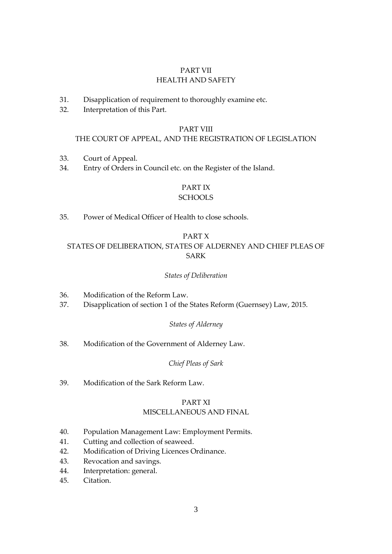## PART VII HEALTH AND SAFETY

- 31. Disapplication of requirement to thoroughly examine etc.
- 32. Interpretation of this Part.

#### PART VIII

#### THE COURT OF APPEAL, AND THE REGISTRATION OF LEGISLATION

- 33. Court of Appeal.
- 34. Entry of Orders in Council etc. on the Register of the Island.

## PART IX

#### **SCHOOLS**

35. Power of Medical Officer of Health to close schools.

### PART X

## STATES OF DELIBERATION, STATES OF ALDERNEY AND CHIEF PLEAS OF SARK

#### *States of Deliberation*

- 36. Modification of the Reform Law.
- 37. Disapplication of section 1 of the States Reform (Guernsey) Law, 2015.

#### *States of Alderney*

38. Modification of the Government of Alderney Law.

#### *Chief Pleas of Sark*

39. Modification of the Sark Reform Law.

## PART XI

#### MISCELLANEOUS AND FINAL

- 40. Population Management Law: Employment Permits.
- 41. Cutting and collection of seaweed.
- 42. Modification of Driving Licences Ordinance.
- 43. Revocation and savings.
- 44. Interpretation: general.
- 45. Citation.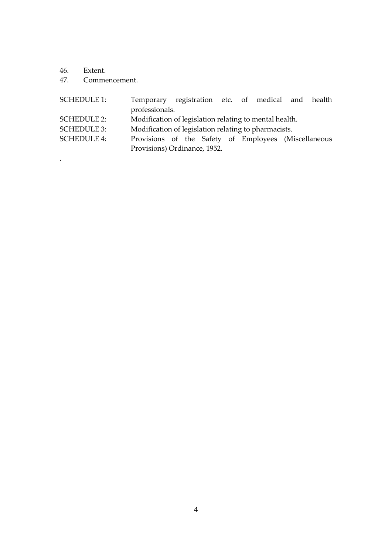46. Extent.

.

47. Commencement.

| <b>SCHEDULE 1:</b> | Temporary registration etc. of medical and health      |  |  |  |  |  |  |  |
|--------------------|--------------------------------------------------------|--|--|--|--|--|--|--|
|                    | professionals.                                         |  |  |  |  |  |  |  |
| <b>SCHEDULE 2:</b> | Modification of legislation relating to mental health. |  |  |  |  |  |  |  |
| <b>SCHEDULE 3:</b> | Modification of legislation relating to pharmacists.   |  |  |  |  |  |  |  |
| <b>SCHEDULE 4:</b> | Provisions of the Safety of Employees (Miscellaneous   |  |  |  |  |  |  |  |
|                    | Provisions) Ordinance, 1952.                           |  |  |  |  |  |  |  |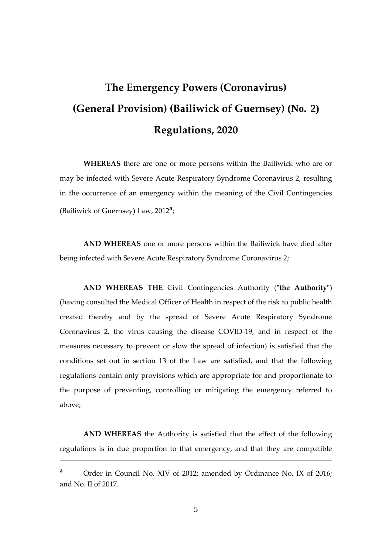# **The Emergency Powers (Coronavirus) (General Provision) (Bailiwick of Guernsey) (No. 2) Regulations, 2020**

**WHEREAS** there are one or more persons within the Bailiwick who are or may be infected with Severe Acute Respiratory Syndrome Coronavirus 2, resulting in the occurrence of an emergency within the meaning of the Civil Contingencies (Bailiwick of Guernsey) Law, 2012**<sup>a</sup>** ;

**AND WHEREAS** one or more persons within the Bailiwick have died after being infected with Severe Acute Respiratory Syndrome Coronavirus 2;

**AND WHEREAS THE** Civil Contingencies Authority (**"the Authority"**) (having consulted the Medical Officer of Health in respect of the risk to public health created thereby and by the spread of Severe Acute Respiratory Syndrome Coronavirus 2, the virus causing the disease COVID-19, and in respect of the measures necessary to prevent or slow the spread of infection) is satisfied that the conditions set out in section 13 of the Law are satisfied, and that the following regulations contain only provisions which are appropriate for and proportionate to the purpose of preventing, controlling or mitigating the emergency referred to above;

**AND WHEREAS** the Authority is satisfied that the effect of the following regulations is in due proportion to that emergency, and that they are compatible

1

**<sup>a</sup>** Order in Council No. XIV of 2012; amended by Ordinance No. IX of 2016; and No. II of 2017.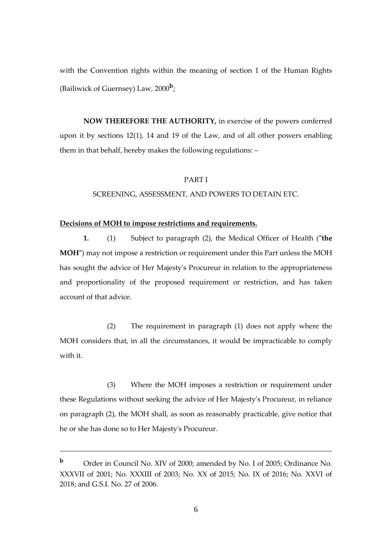with the Convention rights within the meaning of section 1 of the Human Rights (Bailiwick of Guernsey) Law, 2000**<sup>b</sup>** ;

**NOW THEREFORE THE AUTHORITY,** in exercise of the powers conferred upon it by sections 12(1), 14 and 19 of the Law, and of all other powers enabling them in that behalf, hereby makes the following regulations: –

#### PART I

#### SCREENING, ASSESSMENT, AND POWERS TO DETAIN ETC.

#### **Decisions of MOH to impose restrictions and requirements.**

**1.** (1) Subject to paragraph (2), the Medical Officer of Health (**"the MOH"**) may not impose a restriction or requirement under this Part unless the MOH has sought the advice of Her Majesty's Procureur in relation to the appropriateness and proportionality of the proposed requirement or restriction, and has taken account of that advice.

(2) The requirement in paragraph (1) does not apply where the MOH considers that, in all the circumstances, it would be impracticable to comply with it.

(3) Where the MOH imposes a restriction or requirement under these Regulations without seeking the advice of Her Majesty's Procureur, in reliance on paragraph (2), the MOH shall, as soon as reasonably practicable, give notice that he or she has done so to Her Majesty's Procureur.

<u>.</u>

**<sup>b</sup>** Order in Council No. XIV of 2000; amended by No. I of 2005; Ordinance No. XXXVII of 2001; No. XXXIII of 2003; No. XX of 2015; No. IX of 2016; No. XXVI of 2018; and G.S.I. No. 27 of 2006.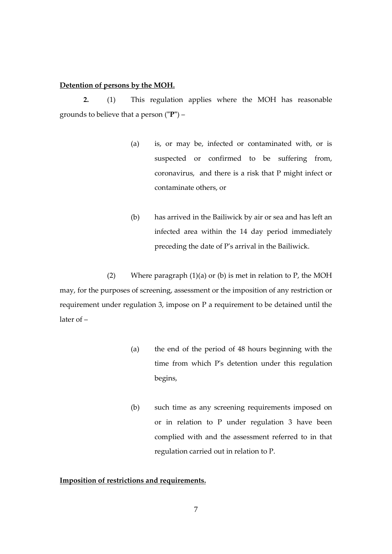#### **Detention of persons by the MOH.**

**2.** (1) This regulation applies where the MOH has reasonable grounds to believe that a person (**"P"**) –

- (a) is, or may be, infected or contaminated with, or is suspected or confirmed to be suffering from, coronavirus, and there is a risk that P might infect or contaminate others, or
- (b) has arrived in the Bailiwick by air or sea and has left an infected area within the 14 day period immediately preceding the date of P's arrival in the Bailiwick.

(2) Where paragraph  $(1)(a)$  or  $(b)$  is met in relation to P, the MOH may, for the purposes of screening, assessment or the imposition of any restriction or requirement under regulation 3, impose on P a requirement to be detained until the later of –

- (a) the end of the period of 48 hours beginning with the time from which P's detention under this regulation begins,
- (b) such time as any screening requirements imposed on or in relation to P under regulation 3 have been complied with and the assessment referred to in that regulation carried out in relation to P.

## **Imposition of restrictions and requirements.**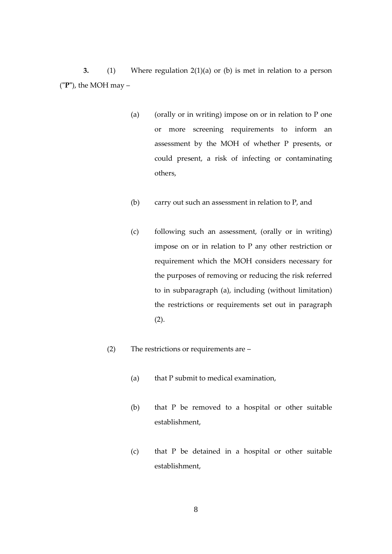**3.** (1) Where regulation 2(1)(a) or (b) is met in relation to a person (**"P"**), the MOH may –

- (a) (orally or in writing) impose on or in relation to P one or more screening requirements to inform an assessment by the MOH of whether P presents, or could present, a risk of infecting or contaminating others,
- (b) carry out such an assessment in relation to P, and
- (c) following such an assessment, (orally or in writing) impose on or in relation to P any other restriction or requirement which the MOH considers necessary for the purposes of removing or reducing the risk referred to in subparagraph (a), including (without limitation) the restrictions or requirements set out in paragraph (2).
- (2) The restrictions or requirements are
	- (a) that P submit to medical examination,
	- (b) that P be removed to a hospital or other suitable establishment,
	- (c) that P be detained in a hospital or other suitable establishment,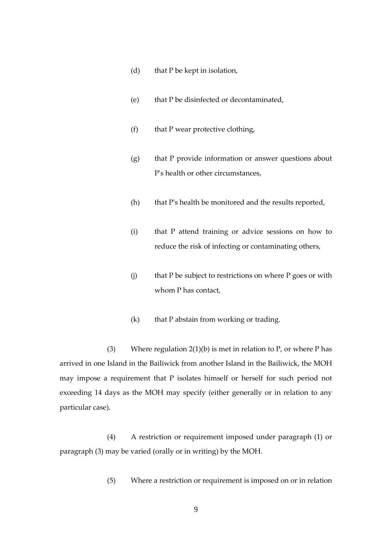- (d) that P be kept in isolation,
- (e) that P be disinfected or decontaminated,
- (f) that P wear protective clothing,
- (g) that P provide information or answer questions about P's health or other circumstances,
- (h) that P's health be monitored and the results reported,
- (i) that P attend training or advice sessions on how to reduce the risk of infecting or contaminating others,
- $(i)$  that P be subject to restrictions on where P goes or with whom P has contact,
- (k) that P abstain from working or trading.

(3) Where regulation  $2(1)(b)$  is met in relation to P, or where P has arrived in one Island in the Bailiwick from another Island in the Bailiwick, the MOH may impose a requirement that P isolates himself or herself for such period not exceeding 14 days as the MOH may specify (either generally or in relation to any particular case).

(4) A restriction or requirement imposed under paragraph (1) or paragraph (3) may be varied (orally or in writing) by the MOH.

(5) Where a restriction or requirement is imposed on or in relation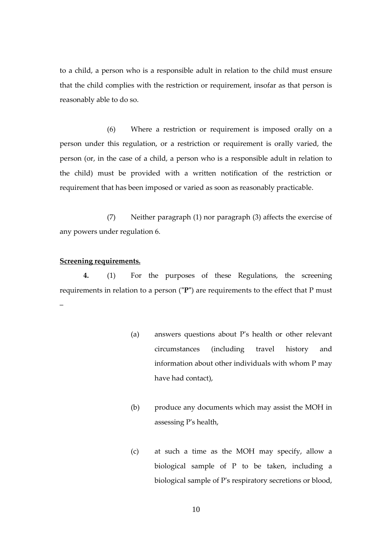to a child, a person who is a responsible adult in relation to the child must ensure that the child complies with the restriction or requirement, insofar as that person is reasonably able to do so.

(6) Where a restriction or requirement is imposed orally on a person under this regulation, or a restriction or requirement is orally varied, the person (or, in the case of a child, a person who is a responsible adult in relation to the child) must be provided with a written notification of the restriction or requirement that has been imposed or varied as soon as reasonably practicable.

(7) Neither paragraph (1) nor paragraph (3) affects the exercise of any powers under regulation 6.

## **Screening requirements.**

**4.** (1) For the purposes of these Regulations, the screening requirements in relation to a person (**"P"**) are requirements to the effect that P must –

- (a) answers questions about P's health or other relevant circumstances (including travel history and information about other individuals with whom P may have had contact),
- (b) produce any documents which may assist the MOH in assessing P's health,
- (c) at such a time as the MOH may specify, allow a biological sample of P to be taken, including a biological sample of P's respiratory secretions or blood,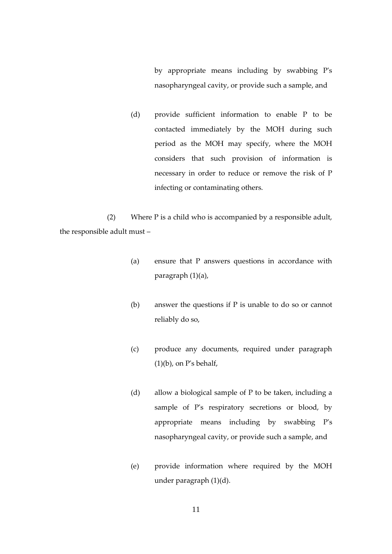by appropriate means including by swabbing P's nasopharyngeal cavity, or provide such a sample, and

(d) provide sufficient information to enable P to be contacted immediately by the MOH during such period as the MOH may specify, where the MOH considers that such provision of information is necessary in order to reduce or remove the risk of P infecting or contaminating others.

(2) Where P is a child who is accompanied by a responsible adult, the responsible adult must –

- (a) ensure that P answers questions in accordance with paragraph (1)(a),
- (b) answer the questions if P is unable to do so or cannot reliably do so,
- (c) produce any documents, required under paragraph  $(1)(b)$ , on P's behalf,
- (d) allow a biological sample of P to be taken, including a sample of P's respiratory secretions or blood, by appropriate means including by swabbing P's nasopharyngeal cavity, or provide such a sample, and
- (e) provide information where required by the MOH under paragraph (1)(d).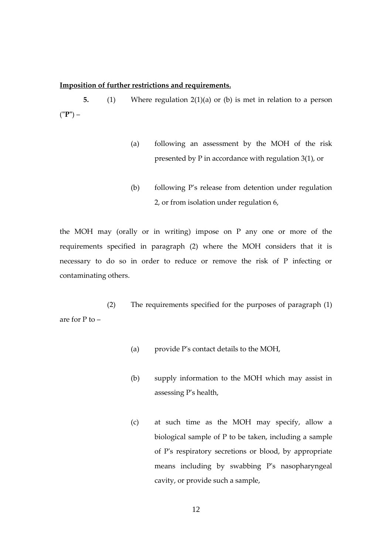#### **Imposition of further restrictions and requirements.**

**5.** (1) Where regulation 2(1)(a) or (b) is met in relation to a person (**"P"**) –

- (a) following an assessment by the MOH of the risk presented by P in accordance with regulation 3(1), or
- (b) following P's release from detention under regulation 2, or from isolation under regulation 6,

the MOH may (orally or in writing) impose on P any one or more of the requirements specified in paragraph (2) where the MOH considers that it is necessary to do so in order to reduce or remove the risk of P infecting or contaminating others.

(2) The requirements specified for the purposes of paragraph (1) are for P to –

- (a) provide P's contact details to the MOH,
- (b) supply information to the MOH which may assist in assessing P's health,
- (c) at such time as the MOH may specify, allow a biological sample of P to be taken, including a sample of P's respiratory secretions or blood, by appropriate means including by swabbing P's nasopharyngeal cavity, or provide such a sample,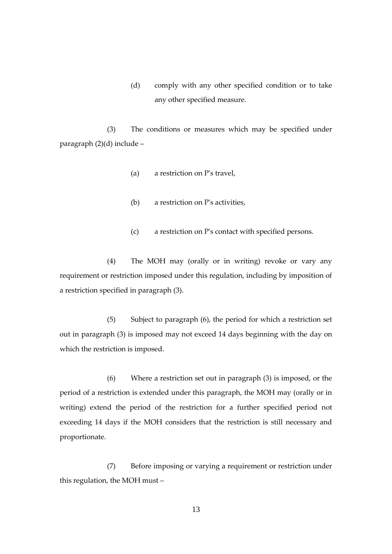(d) comply with any other specified condition or to take any other specified measure.

(3) The conditions or measures which may be specified under paragraph (2)(d) include –

- (a) a restriction on P's travel,
- (b) a restriction on P's activities,
- (c) a restriction on P's contact with specified persons.

(4) The MOH may (orally or in writing) revoke or vary any requirement or restriction imposed under this regulation, including by imposition of a restriction specified in paragraph (3).

(5) Subject to paragraph (6), the period for which a restriction set out in paragraph (3) is imposed may not exceed 14 days beginning with the day on which the restriction is imposed.

(6) Where a restriction set out in paragraph (3) is imposed, or the period of a restriction is extended under this paragraph, the MOH may (orally or in writing) extend the period of the restriction for a further specified period not exceeding 14 days if the MOH considers that the restriction is still necessary and proportionate.

(7) Before imposing or varying a requirement or restriction under this regulation, the MOH must –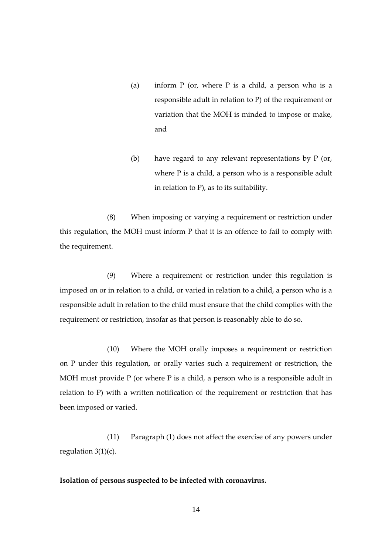- (a) inform  $P$  (or, where  $P$  is a child, a person who is a responsible adult in relation to P) of the requirement or variation that the MOH is minded to impose or make, and
- (b) have regard to any relevant representations by P (or, where P is a child, a person who is a responsible adult in relation to P), as to its suitability.

(8) When imposing or varying a requirement or restriction under this regulation, the MOH must inform P that it is an offence to fail to comply with the requirement.

(9) Where a requirement or restriction under this regulation is imposed on or in relation to a child, or varied in relation to a child, a person who is a responsible adult in relation to the child must ensure that the child complies with the requirement or restriction, insofar as that person is reasonably able to do so.

(10) Where the MOH orally imposes a requirement or restriction on P under this regulation, or orally varies such a requirement or restriction, the MOH must provide P (or where P is a child, a person who is a responsible adult in relation to P) with a written notification of the requirement or restriction that has been imposed or varied.

(11) Paragraph (1) does not affect the exercise of any powers under regulation  $3(1)(c)$ .

#### **Isolation of persons suspected to be infected with coronavirus.**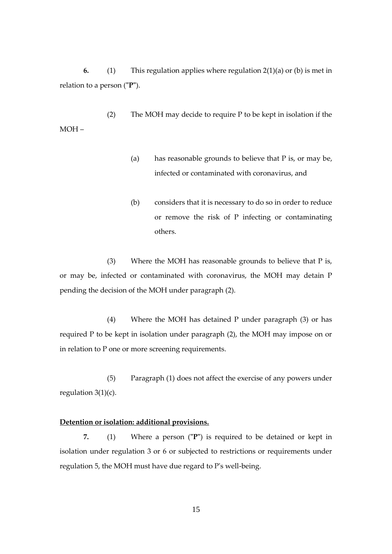**6.** (1) This regulation applies where regulation 2(1)(a) or (b) is met in relation to a person (**"P"**).

(2) The MOH may decide to require P to be kept in isolation if the MOH –

- (a) has reasonable grounds to believe that P is, or may be, infected or contaminated with coronavirus, and
- (b) considers that it is necessary to do so in order to reduce or remove the risk of P infecting or contaminating others.

(3) Where the MOH has reasonable grounds to believe that P is, or may be, infected or contaminated with coronavirus, the MOH may detain P pending the decision of the MOH under paragraph (2).

(4) Where the MOH has detained P under paragraph (3) or has required P to be kept in isolation under paragraph (2), the MOH may impose on or in relation to P one or more screening requirements.

(5) Paragraph (1) does not affect the exercise of any powers under regulation  $3(1)(c)$ .

#### **Detention or isolation: additional provisions.**

**7.** (1) Where a person (**"P"**) is required to be detained or kept in isolation under regulation 3 or 6 or subjected to restrictions or requirements under regulation 5, the MOH must have due regard to P's well-being.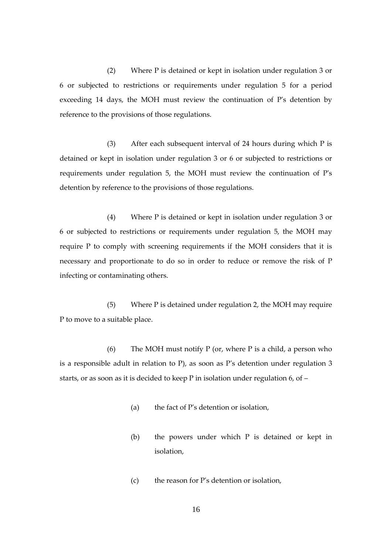(2) Where P is detained or kept in isolation under regulation 3 or 6 or subjected to restrictions or requirements under regulation 5 for a period exceeding 14 days, the MOH must review the continuation of P's detention by reference to the provisions of those regulations.

(3) After each subsequent interval of 24 hours during which P is detained or kept in isolation under regulation 3 or 6 or subjected to restrictions or requirements under regulation 5, the MOH must review the continuation of P's detention by reference to the provisions of those regulations.

(4) Where P is detained or kept in isolation under regulation 3 or 6 or subjected to restrictions or requirements under regulation 5, the MOH may require P to comply with screening requirements if the MOH considers that it is necessary and proportionate to do so in order to reduce or remove the risk of P infecting or contaminating others.

(5) Where P is detained under regulation 2, the MOH may require P to move to a suitable place.

(6) The MOH must notify  $P$  (or, where  $P$  is a child, a person who is a responsible adult in relation to P), as soon as P's detention under regulation 3 starts, or as soon as it is decided to keep P in isolation under regulation 6, of –

- (a) the fact of P's detention or isolation,
- (b) the powers under which P is detained or kept in isolation,
- (c) the reason for P's detention or isolation,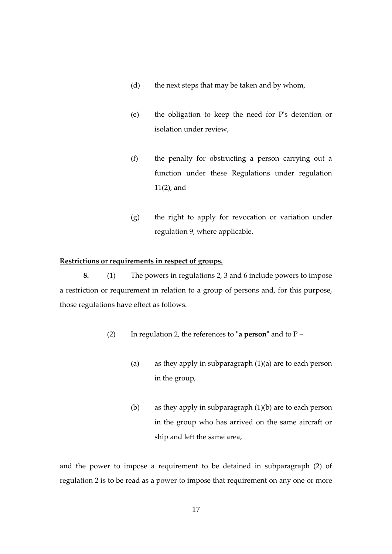- (d) the next steps that may be taken and by whom,
- (e) the obligation to keep the need for P's detention or isolation under review,
- (f) the penalty for obstructing a person carrying out a function under these Regulations under regulation 11(2), and
- (g) the right to apply for revocation or variation under regulation 9, where applicable.

## **Restrictions or requirements in respect of groups.**

**8.** (1) The powers in regulations 2, 3 and 6 include powers to impose a restriction or requirement in relation to a group of persons and, for this purpose, those regulations have effect as follows.

- (2) In regulation 2, the references to **"a person"** and to P
	- (a) as they apply in subparagraph  $(1)(a)$  are to each person in the group,
	- (b) as they apply in subparagraph (1)(b) are to each person in the group who has arrived on the same aircraft or ship and left the same area,

and the power to impose a requirement to be detained in subparagraph (2) of regulation 2 is to be read as a power to impose that requirement on any one or more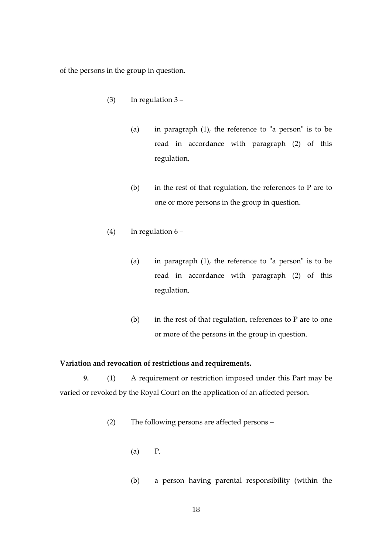of the persons in the group in question.

- (3) In regulation  $3 -$ 
	- (a) in paragraph (1), the reference to "a person" is to be read in accordance with paragraph (2) of this regulation,
	- (b) in the rest of that regulation, the references to P are to one or more persons in the group in question.
- (4) In regulation  $6 -$ 
	- (a) in paragraph (1), the reference to "a person" is to be read in accordance with paragraph (2) of this regulation,
	- (b) in the rest of that regulation, references to  $P$  are to one or more of the persons in the group in question.

## **Variation and revocation of restrictions and requirements.**

**9.** (1) A requirement or restriction imposed under this Part may be varied or revoked by the Royal Court on the application of an affected person.

(2) The following persons are affected persons –

- $(a)$   $P$ ,
- (b) a person having parental responsibility (within the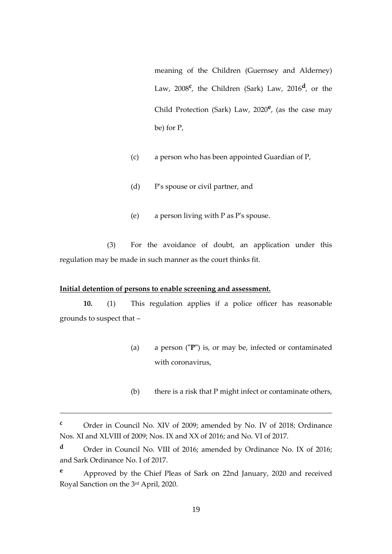meaning of the Children (Guernsey and Alderney) Law, 2008<sup>c</sup>, the Children (Sark) Law, 2016<sup>d</sup>, or the Child Protection (Sark) Law, 2020**<sup>e</sup>** , (as the case may be) for P,

- (c) a person who has been appointed Guardian of P,
- (d) P's spouse or civil partner, and
- (e) a person living with P as P's spouse.

(3) For the avoidance of doubt, an application under this regulation may be made in such manner as the court thinks fit.

#### **Initial detention of persons to enable screening and assessment.**

<u>.</u>

**10.** (1) This regulation applies if a police officer has reasonable grounds to suspect that –

- (a) a person (**"P"**) is, or may be, infected or contaminated with coronavirus,
- (b) there is a risk that P might infect or contaminate others,

**<sup>c</sup>** Order in Council No. XIV of 2009; amended by No. IV of 2018; Ordinance Nos. XI and XLVIII of 2009; Nos. IX and XX of 2016; and No. VI of 2017.

**<sup>d</sup>** Order in Council No. VIII of 2016; amended by Ordinance No. IX of 2016; and Sark Ordinance No. I of 2017.

**<sup>e</sup>** Approved by the Chief Pleas of Sark on 22nd January, 2020 and received Royal Sanction on the 3rd April, 2020.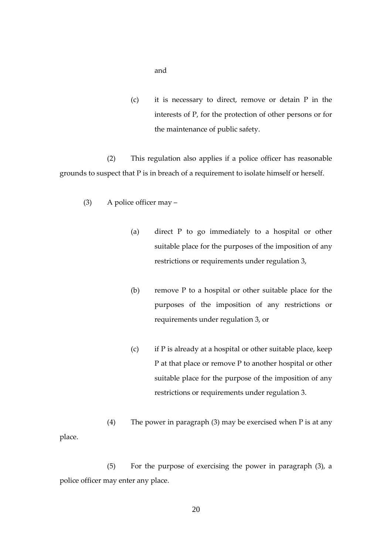and

(c) it is necessary to direct, remove or detain P in the interests of P, for the protection of other persons or for the maintenance of public safety.

(2) This regulation also applies if a police officer has reasonable grounds to suspect that P is in breach of a requirement to isolate himself or herself.

- (3) A police officer may
	- (a) direct P to go immediately to a hospital or other suitable place for the purposes of the imposition of any restrictions or requirements under regulation 3,
	- (b) remove P to a hospital or other suitable place for the purposes of the imposition of any restrictions or requirements under regulation 3, or
	- (c) if P is already at a hospital or other suitable place, keep P at that place or remove P to another hospital or other suitable place for the purpose of the imposition of any restrictions or requirements under regulation 3.

(4) The power in paragraph (3) may be exercised when P is at any place.

(5) For the purpose of exercising the power in paragraph (3), a police officer may enter any place.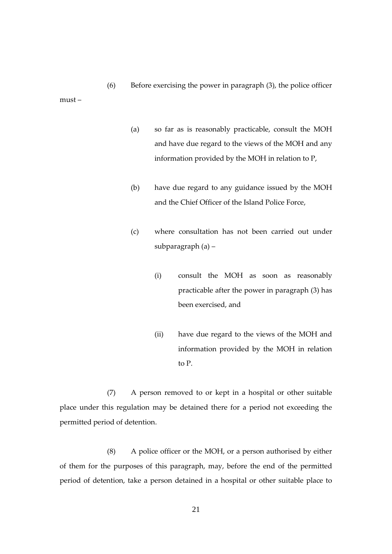must –

- (a) so far as is reasonably practicable, consult the MOH and have due regard to the views of the MOH and any information provided by the MOH in relation to P,
- (b) have due regard to any guidance issued by the MOH and the Chief Officer of the Island Police Force,
- (c) where consultation has not been carried out under subparagraph (a) –
	- (i) consult the MOH as soon as reasonably practicable after the power in paragraph (3) has been exercised, and
	- (ii) have due regard to the views of the MOH and information provided by the MOH in relation to P.

(7) A person removed to or kept in a hospital or other suitable place under this regulation may be detained there for a period not exceeding the permitted period of detention.

(8) A police officer or the MOH, or a person authorised by either of them for the purposes of this paragraph, may, before the end of the permitted period of detention, take a person detained in a hospital or other suitable place to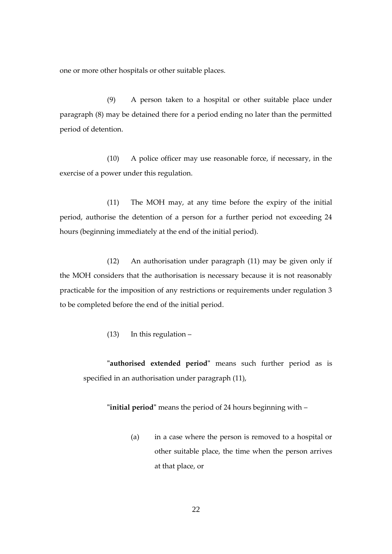one or more other hospitals or other suitable places.

(9) A person taken to a hospital or other suitable place under paragraph (8) may be detained there for a period ending no later than the permitted period of detention.

(10) A police officer may use reasonable force, if necessary, in the exercise of a power under this regulation.

(11) The MOH may, at any time before the expiry of the initial period, authorise the detention of a person for a further period not exceeding 24 hours (beginning immediately at the end of the initial period).

(12) An authorisation under paragraph (11) may be given only if the MOH considers that the authorisation is necessary because it is not reasonably practicable for the imposition of any restrictions or requirements under regulation 3 to be completed before the end of the initial period.

(13) In this regulation –

**"authorised extended period"** means such further period as is specified in an authorisation under paragraph (11),

**"initial period"** means the period of 24 hours beginning with –

(a) in a case where the person is removed to a hospital or other suitable place, the time when the person arrives at that place, or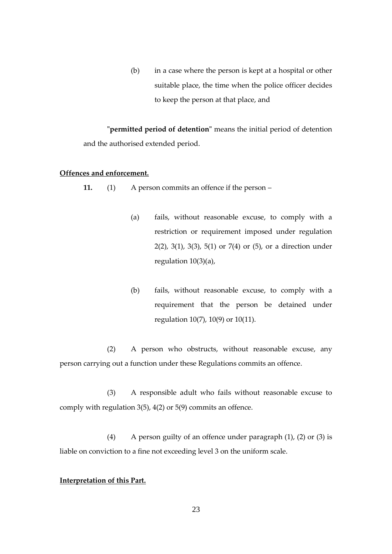(b) in a case where the person is kept at a hospital or other suitable place, the time when the police officer decides to keep the person at that place, and

**"permitted period of detention"** means the initial period of detention and the authorised extended period.

#### **Offences and enforcement.**

**11.** (1) A person commits an offence if the person –

- (a) fails, without reasonable excuse, to comply with a restriction or requirement imposed under regulation 2(2), 3(1), 3(3), 5(1) or 7(4) or (5), or a direction under regulation 10(3)(a),
- (b) fails, without reasonable excuse, to comply with a requirement that the person be detained under regulation 10(7), 10(9) or 10(11).

(2) A person who obstructs, without reasonable excuse, any person carrying out a function under these Regulations commits an offence.

(3) A responsible adult who fails without reasonable excuse to comply with regulation 3(5), 4(2) or 5(9) commits an offence.

(4) A person guilty of an offence under paragraph (1), (2) or (3) is liable on conviction to a fine not exceeding level 3 on the uniform scale.

## **Interpretation of this Part.**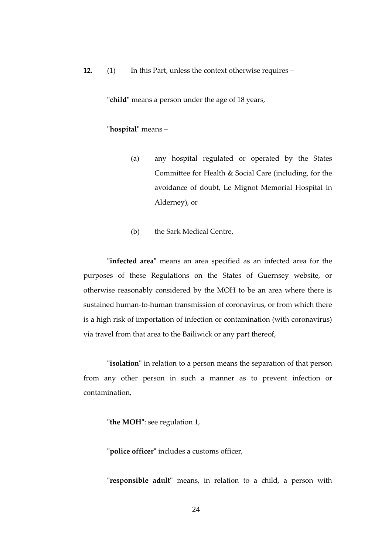**12.** (1) In this Part, unless the context otherwise requires –

**"child"** means a person under the age of 18 years,

#### **"hospital"** means –

- (a) any hospital regulated or operated by the States Committee for Health & Social Care (including, for the avoidance of doubt, Le Mignot Memorial Hospital in Alderney), or
- (b) the Sark Medical Centre,

**"infected area"** means an area specified as an infected area for the purposes of these Regulations on the States of Guernsey website, or otherwise reasonably considered by the MOH to be an area where there is sustained human-to-human transmission of coronavirus, or from which there is a high risk of importation of infection or contamination (with coronavirus) via travel from that area to the Bailiwick or any part thereof,

**"isolation"** in relation to a person means the separation of that person from any other person in such a manner as to prevent infection or contamination,

**"the MOH"**: see regulation 1,

**"police officer"** includes a customs officer,

**"responsible adult"** means, in relation to a child, a person with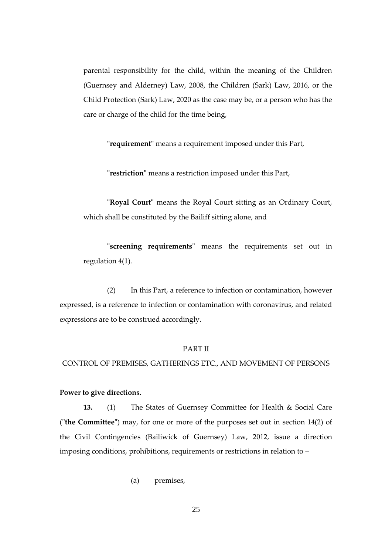parental responsibility for the child, within the meaning of the Children (Guernsey and Alderney) Law, 2008, the Children (Sark) Law, 2016, or the Child Protection (Sark) Law, 2020 as the case may be, or a person who has the care or charge of the child for the time being,

**"requirement"** means a requirement imposed under this Part,

**"restriction"** means a restriction imposed under this Part,

**"Royal Court"** means the Royal Court sitting as an Ordinary Court, which shall be constituted by the Bailiff sitting alone, and

**"screening requirements"** means the requirements set out in regulation 4(1).

(2) In this Part, a reference to infection or contamination, however expressed, is a reference to infection or contamination with coronavirus, and related expressions are to be construed accordingly.

#### PART II

CONTROL OF PREMISES, GATHERINGS ETC., AND MOVEMENT OF PERSONS

#### **Power to give directions.**

**13.** (1) The States of Guernsey Committee for Health & Social Care (**"the Committee"**) may, for one or more of the purposes set out in section 14(2) of the Civil Contingencies (Bailiwick of Guernsey) Law, 2012, issue a direction imposing conditions, prohibitions, requirements or restrictions in relation to –

(a) premises,

25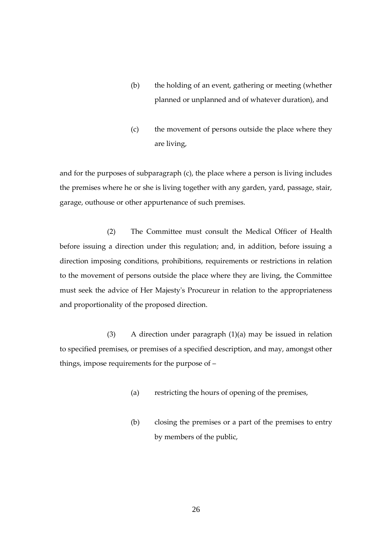- (b) the holding of an event, gathering or meeting (whether planned or unplanned and of whatever duration), and
- (c) the movement of persons outside the place where they are living,

and for the purposes of subparagraph (c), the place where a person is living includes the premises where he or she is living together with any garden, yard, passage, stair, garage, outhouse or other appurtenance of such premises.

(2) The Committee must consult the Medical Officer of Health before issuing a direction under this regulation; and, in addition, before issuing a direction imposing conditions, prohibitions, requirements or restrictions in relation to the movement of persons outside the place where they are living, the Committee must seek the advice of Her Majesty's Procureur in relation to the appropriateness and proportionality of the proposed direction.

(3) A direction under paragraph (1)(a) may be issued in relation to specified premises, or premises of a specified description, and may, amongst other things, impose requirements for the purpose of –

- (a) restricting the hours of opening of the premises,
- (b) closing the premises or a part of the premises to entry by members of the public,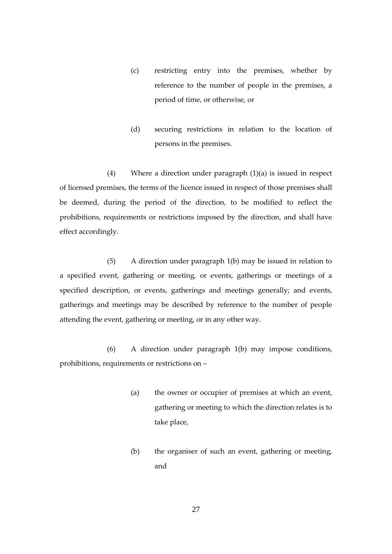- (c) restricting entry into the premises, whether by reference to the number of people in the premises, a period of time, or otherwise, or
- (d) securing restrictions in relation to the location of persons in the premises.

(4) Where a direction under paragraph (1)(a) is issued in respect of licensed premises, the terms of the licence issued in respect of those premises shall be deemed, during the period of the direction, to be modified to reflect the prohibitions, requirements or restrictions imposed by the direction, and shall have effect accordingly.

(5) A direction under paragraph 1(b) may be issued in relation to a specified event, gathering or meeting, or events, gatherings or meetings of a specified description, or events, gatherings and meetings generally; and events, gatherings and meetings may be described by reference to the number of people attending the event, gathering or meeting, or in any other way.

(6) A direction under paragraph 1(b) may impose conditions, prohibitions, requirements or restrictions on –

- (a) the owner or occupier of premises at which an event, gathering or meeting to which the direction relates is to take place,
- (b) the organiser of such an event, gathering or meeting, and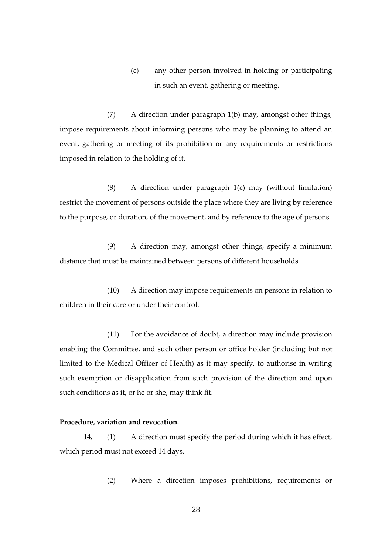(c) any other person involved in holding or participating in such an event, gathering or meeting.

(7) A direction under paragraph 1(b) may, amongst other things, impose requirements about informing persons who may be planning to attend an event, gathering or meeting of its prohibition or any requirements or restrictions imposed in relation to the holding of it.

(8) A direction under paragraph 1(c) may (without limitation) restrict the movement of persons outside the place where they are living by reference to the purpose, or duration, of the movement, and by reference to the age of persons.

(9) A direction may, amongst other things, specify a minimum distance that must be maintained between persons of different households.

(10) A direction may impose requirements on persons in relation to children in their care or under their control.

(11) For the avoidance of doubt, a direction may include provision enabling the Committee, and such other person or office holder (including but not limited to the Medical Officer of Health) as it may specify, to authorise in writing such exemption or disapplication from such provision of the direction and upon such conditions as it, or he or she, may think fit.

#### **Procedure, variation and revocation.**

**14.** (1) A direction must specify the period during which it has effect, which period must not exceed 14 days.

(2) Where a direction imposes prohibitions, requirements or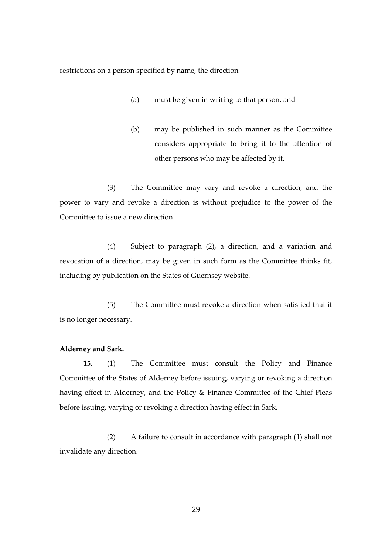restrictions on a person specified by name, the direction –

- (a) must be given in writing to that person, and
- (b) may be published in such manner as the Committee considers appropriate to bring it to the attention of other persons who may be affected by it.

(3) The Committee may vary and revoke a direction, and the power to vary and revoke a direction is without prejudice to the power of the Committee to issue a new direction.

(4) Subject to paragraph (2), a direction, and a variation and revocation of a direction, may be given in such form as the Committee thinks fit, including by publication on the States of Guernsey website.

(5) The Committee must revoke a direction when satisfied that it is no longer necessary.

#### **Alderney and Sark.**

**15.** (1) The Committee must consult the Policy and Finance Committee of the States of Alderney before issuing, varying or revoking a direction having effect in Alderney, and the Policy & Finance Committee of the Chief Pleas before issuing, varying or revoking a direction having effect in Sark.

(2) A failure to consult in accordance with paragraph (1) shall not invalidate any direction.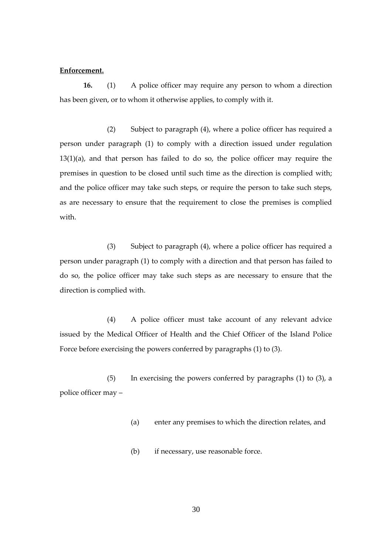#### **Enforcement.**

**16.** (1) A police officer may require any person to whom a direction has been given, or to whom it otherwise applies, to comply with it.

(2) Subject to paragraph (4), where a police officer has required a person under paragraph (1) to comply with a direction issued under regulation 13(1)(a), and that person has failed to do so, the police officer may require the premises in question to be closed until such time as the direction is complied with; and the police officer may take such steps, or require the person to take such steps, as are necessary to ensure that the requirement to close the premises is complied with.

(3) Subject to paragraph (4), where a police officer has required a person under paragraph (1) to comply with a direction and that person has failed to do so, the police officer may take such steps as are necessary to ensure that the direction is complied with.

(4) A police officer must take account of any relevant advice issued by the Medical Officer of Health and the Chief Officer of the Island Police Force before exercising the powers conferred by paragraphs (1) to (3).

(5) In exercising the powers conferred by paragraphs (1) to (3), a police officer may –

- (a) enter any premises to which the direction relates, and
- (b) if necessary, use reasonable force.

30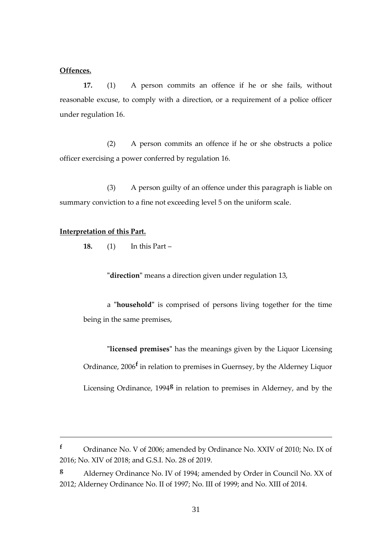#### **Offences.**

**17.** (1) A person commits an offence if he or she fails, without reasonable excuse, to comply with a direction, or a requirement of a police officer under regulation 16.

(2) A person commits an offence if he or she obstructs a police officer exercising a power conferred by regulation 16.

(3) A person guilty of an offence under this paragraph is liable on summary conviction to a fine not exceeding level 5 on the uniform scale.

#### **Interpretation of this Part.**

1

**18.** (1) In this Part –

**"direction"** means a direction given under regulation 13,

a **"household"** is comprised of persons living together for the time being in the same premises,

**"licensed premises"** has the meanings given by the Liquor Licensing Ordinance, 2006**<sup>f</sup>** in relation to premises in Guernsey, by the Alderney Liquor Licensing Ordinance, 1994<sup>8</sup> in relation to premises in Alderney, and by the

**<sup>f</sup>** Ordinance No. V of 2006; amended by Ordinance No. XXIV of 2010; No. IX of 2016; No. XIV of 2018; and G.S.I. No. 28 of 2019.

**<sup>g</sup>** Alderney Ordinance No. IV of 1994; amended by Order in Council No. XX of 2012; Alderney Ordinance No. II of 1997; No. III of 1999; and No. XIII of 2014.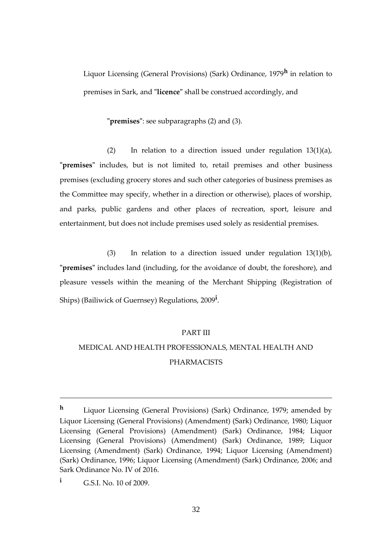Liquor Licensing (General Provisions) (Sark) Ordinance, 1979**<sup>h</sup>** in relation to premises in Sark, and **"licence"** shall be construed accordingly, and

**"premises"**: see subparagraphs (2) and (3).

(2) In relation to a direction issued under regulation  $13(1)(a)$ , **"premises"** includes, but is not limited to, retail premises and other business premises (excluding grocery stores and such other categories of business premises as the Committee may specify, whether in a direction or otherwise), places of worship, and parks, public gardens and other places of recreation, sport, leisure and entertainment, but does not include premises used solely as residential premises.

(3) In relation to a direction issued under regulation 13(1)(b), **"premises"** includes land (including, for the avoidance of doubt, the foreshore), and pleasure vessels within the meaning of the Merchant Shipping (Registration of Ships) (Bailiwick of Guernsey) Regulations, 2009**<sup>i</sup>** .

#### PART III

## MEDICAL AND HEALTH PROFESSIONALS, MENTAL HEALTH AND PHARMACISTS

1

**<sup>h</sup>** Liquor Licensing (General Provisions) (Sark) Ordinance, 1979; amended by Liquor Licensing (General Provisions) (Amendment) (Sark) Ordinance, 1980; Liquor Licensing (General Provisions) (Amendment) (Sark) Ordinance, 1984; Liquor Licensing (General Provisions) (Amendment) (Sark) Ordinance, 1989; Liquor Licensing (Amendment) (Sark) Ordinance, 1994; Liquor Licensing (Amendment) (Sark) Ordinance, 1996; Liquor Licensing (Amendment) (Sark) Ordinance, 2006; and Sark Ordinance No. IV of 2016.

**<sup>i</sup>** G.S.I. No. 10 of 2009.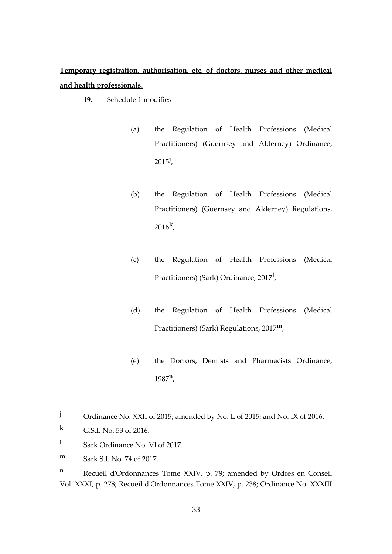**Temporary registration, authorisation, etc. of doctors, nurses and other medical and health professionals.**

- **19.** Schedule 1 modifies
	- (a) the Regulation of Health Professions (Medical Practitioners) (Guernsey and Alderney) Ordinance, 2015**<sup>j</sup>** ,
	- (b) the Regulation of Health Professions (Medical Practitioners) (Guernsey and Alderney) Regulations, 2016**<sup>k</sup>** ,
	- (c) the Regulation of Health Professions (Medical Practitioners) (Sark) Ordinance, 2017**<sup>l</sup>** ,
	- (d) the Regulation of Health Professions (Medical Practitioners) (Sark) Regulations, 2017**m**,
	- (e) the Doctors, Dentists and Pharmacists Ordinance, 1987 **n** ,

<u>.</u>

- **l** Sark Ordinance No. VI of 2017.
- **m** Sark S.I. No. 74 of 2017.

**<sup>n</sup>** Recueil d'Ordonnances Tome XXIV, p. 79; amended by Ordres en Conseil Vol. XXXI, p. 278; Recueil d'Ordonnances Tome XXIV, p. 238; Ordinance No. XXXIII

**<sup>j</sup>** Ordinance No. XXII of 2015; amended by No. L of 2015; and No. IX of 2016.

**k** G.S.I. No. 53 of 2016.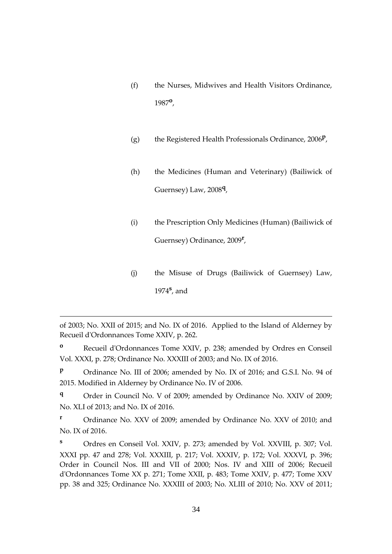- (f) the Nurses, Midwives and Health Visitors Ordinance, 1987**<sup>o</sup>** ,
- (g) the Registered Health Professionals Ordinance, 2006**<sup>p</sup>** ,
- (h) the Medicines (Human and Veterinary) (Bailiwick of Guernsey) Law, 2008**<sup>q</sup>** ,
- (i) the Prescription Only Medicines (Human) (Bailiwick of Guernsey) Ordinance, 2009**<sup>r</sup>** ,
- (j) the Misuse of Drugs (Bailiwick of Guernsey) Law, 1974**<sup>s</sup>** , and

of 2003; No. XXII of 2015; and No. IX of 2016. Applied to the Island of Alderney by Recueil d'Ordonnances Tome XXIV, p. 262.

1

**<sup>o</sup>** Recueil d'Ordonnances Tome XXIV, p. 238; amended by Ordres en Conseil Vol. XXXI, p. 278; Ordinance No. XXXIII of 2003; and No. IX of 2016.

**P** Ordinance No. III of 2006; amended by No. IX of 2016; and G.S.I. No. 94 of 2015. Modified in Alderney by Ordinance No. IV of 2006.

**<sup>q</sup>** Order in Council No. V of 2009; amended by Ordinance No. XXIV of 2009; No. XLI of 2013; and No. IX of 2016.

**<sup>r</sup>** Ordinance No. XXV of 2009; amended by Ordinance No. XXV of 2010; and No. IX of 2016.

**<sup>s</sup>** Ordres en Conseil Vol. XXIV, p. 273; amended by Vol. XXVIII, p. 307; Vol. XXXI pp. 47 and 278; Vol. XXXIII, p. 217; Vol. XXXIV, p. 172; Vol. XXXVI, p. 396; Order in Council Nos. III and VII of 2000; Nos. IV and XIII of 2006; Recueil d'Ordonnances Tome XX p. 271; Tome XXII, p. 483; Tome XXIV, p. 477; Tome XXV pp. 38 and 325; Ordinance No. XXXIII of 2003; No. XLIII of 2010; No. XXV of 2011;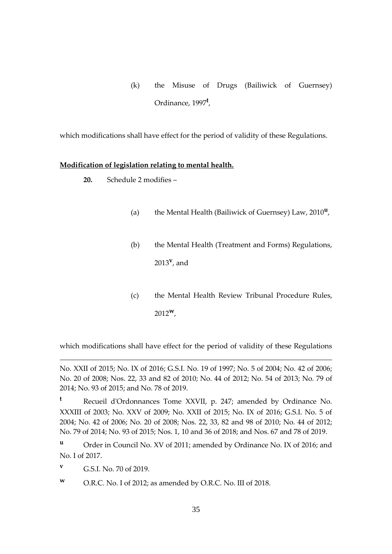(k) the Misuse of Drugs (Bailiwick of Guernsey) Ordinance, 1997**<sup>t</sup>** ,

which modifications shall have effect for the period of validity of these Regulations.

## **Modification of legislation relating to mental health.**

**20.** Schedule 2 modifies –

- (a) the Mental Health (Bailiwick of Guernsey) Law, 2010**<sup>u</sup>** ,
- (b) the Mental Health (Treatment and Forms) Regulations, 2013**<sup>v</sup>** , and
- (c) the Mental Health Review Tribunal Procedure Rules, 2012**w**,

which modifications shall have effect for the period of validity of these Regulations

No. XXII of 2015; No. IX of 2016; G.S.I. No. 19 of 1997; No. 5 of 2004; No. 42 of 2006; No. 20 of 2008; Nos. 22, 33 and 82 of 2010; No. 44 of 2012; No. 54 of 2013; No. 79 of 2014; No. 93 of 2015; and No. 78 of 2019.

**<sup>t</sup>** Recueil d'Ordonnances Tome XXVII, p. 247; amended by Ordinance No. XXXIII of 2003; No. XXV of 2009; No. XXII of 2015; No. IX of 2016; G.S.I. No. 5 of 2004; No. 42 of 2006; No. 20 of 2008; Nos. 22, 33, 82 and 98 of 2010; No. 44 of 2012; No. 79 of 2014; No. 93 of 2015; Nos. 1, 10 and 36 of 2018; and Nos. 67 and 78 of 2019.

**<sup>v</sup>** G.S.I. No. 70 of 2019.

1

**<sup>w</sup>** O.R.C. No. I of 2012; as amended by O.R.C. No. III of 2018.

**<sup>u</sup>** Order in Council No. XV of 2011; amended by Ordinance No. IX of 2016; and No. I of 2017.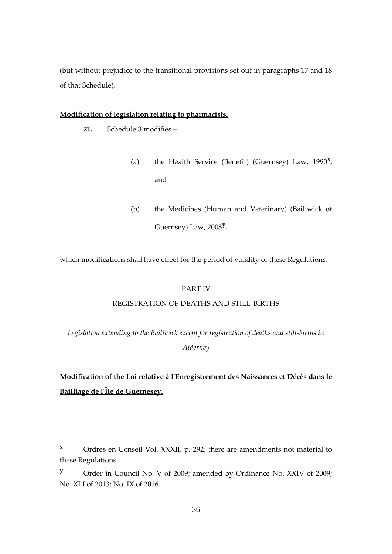(but without prejudice to the transitional provisions set out in paragraphs 17 and 18 of that Schedule).

#### **Modification of legislation relating to pharmacists.**

**21.** Schedule 3 modifies –

1

- (a) the Health Service (Benefit) (Guernsey) Law, 1990**<sup>x</sup>** , and
- (b) the Medicines (Human and Veterinary) (Bailiwick of Guernsey) Law, 2008**<sup>y</sup>** ,

which modifications shall have effect for the period of validity of these Regulations.

#### PART IV

#### REGISTRATION OF DEATHS AND STILL-BIRTHS

*Legislation extending to the Bailiwick except for registration of deaths and still-births in Alderney*

## **Modification of the Loi relative à l'Enregistrement des Naissances et Décès dans le Bailliage de l'Île de Guernesey.**

**<sup>x</sup>** Ordres en Conseil Vol. XXXII, p. 292; there are amendments not material to these Regulations.

**<sup>y</sup>** Order in Council No. V of 2009; amended by Ordinance No. XXIV of 2009; No. XLI of 2013; No. IX of 2016.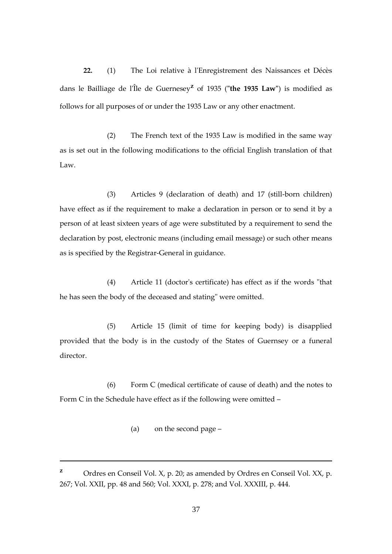**22.** (1) The Loi relative à l'Enregistrement des Naissances et Décès dans le Bailliage de l'Île de Guernesey**<sup>z</sup>** of 1935 (**"the 1935 Law"**) is modified as follows for all purposes of or under the 1935 Law or any other enactment.

(2) The French text of the 1935 Law is modified in the same way as is set out in the following modifications to the official English translation of that  $Law$ 

(3) Articles 9 (declaration of death) and 17 (still-born children) have effect as if the requirement to make a declaration in person or to send it by a person of at least sixteen years of age were substituted by a requirement to send the declaration by post, electronic means (including email message) or such other means as is specified by the Registrar-General in guidance.

(4) Article 11 (doctor's certificate) has effect as if the words "that he has seen the body of the deceased and stating" were omitted.

(5) Article 15 (limit of time for keeping body) is disapplied provided that the body is in the custody of the States of Guernsey or a funeral director.

(6) Form C (medical certificate of cause of death) and the notes to Form C in the Schedule have effect as if the following were omitted –

(a) on the second page –

1

**<sup>z</sup>** Ordres en Conseil Vol. X, p. 20; as amended by Ordres en Conseil Vol. XX, p. 267; Vol. XXII, pp. 48 and 560; Vol. XXXI, p. 278; and Vol. XXXIII, p. 444.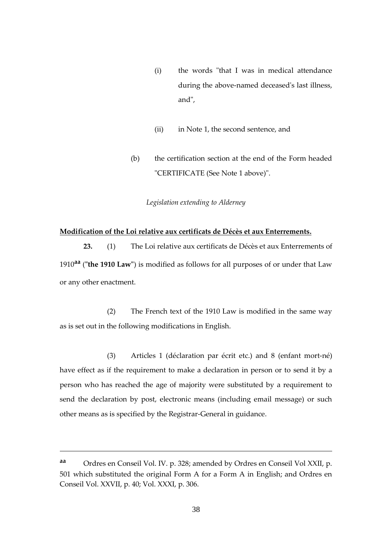- (i) the words "that I was in medical attendance during the above-named deceased's last illness, and",
- (ii) in Note 1, the second sentence, and
- (b) the certification section at the end of the Form headed "CERTIFICATE (See Note 1 above)".

#### *Legislation extending to Alderney*

#### **Modification of the Loi relative aux certificats de Décès et aux Enterrements.**

**23.** (1) The Loi relative aux certificats de Décès et aux Enterrements of 1910**aa** (**"the 1910 Law"**) is modified as follows for all purposes of or under that Law or any other enactment.

(2) The French text of the 1910 Law is modified in the same way as is set out in the following modifications in English.

(3) Articles 1 (déclaration par écrit etc.) and 8 (enfant mort-né) have effect as if the requirement to make a declaration in person or to send it by a person who has reached the age of majority were substituted by a requirement to send the declaration by post, electronic means (including email message) or such other means as is specified by the Registrar-General in guidance.

<u>.</u>

**aa** Ordres en Conseil Vol. IV. p. 328; amended by Ordres en Conseil Vol XXII, p. 501 which substituted the original Form A for a Form A in English; and Ordres en Conseil Vol. XXVII, p. 40; Vol. XXXI, p. 306.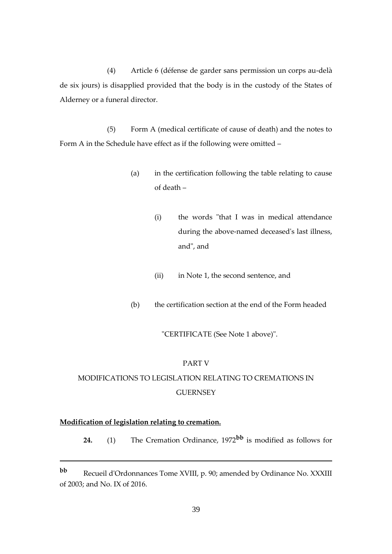(4) Article 6 (défense de garder sans permission un corps au-delà de six jours) is disapplied provided that the body is in the custody of the States of Alderney or a funeral director.

(5) Form A (medical certificate of cause of death) and the notes to Form A in the Schedule have effect as if the following were omitted –

- (a) in the certification following the table relating to cause of death –
	- (i) the words "that I was in medical attendance during the above-named deceased's last illness, and", and
	- (ii) in Note 1, the second sentence, and
- (b) the certification section at the end of the Form headed

## "CERTIFICATE (See Note 1 above)".

## PART V

# MODIFICATIONS TO LEGISLATION RELATING TO CREMATIONS IN **GUERNSEY**

# **Modification of legislation relating to cremation.**

1

**24.** (1) The Cremation Ordinance, 1972**bb** is modified as follows for

**bb** Recueil d'Ordonnances Tome XVIII, p. 90; amended by Ordinance No. XXXIII of 2003; and No. IX of 2016.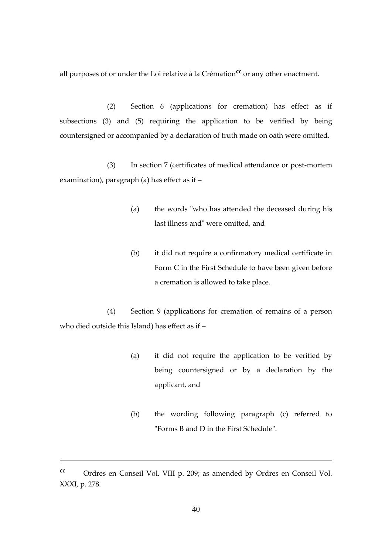all purposes of or under the Loi relative à la Crémation**cc** or any other enactment.

(2) Section 6 (applications for cremation) has effect as if subsections (3) and (5) requiring the application to be verified by being countersigned or accompanied by a declaration of truth made on oath were omitted.

(3) In section 7 (certificates of medical attendance or post-mortem examination), paragraph (a) has effect as if –

- (a) the words "who has attended the deceased during his last illness and" were omitted, and
- (b) it did not require a confirmatory medical certificate in Form C in the First Schedule to have been given before a cremation is allowed to take place.

(4) Section 9 (applications for cremation of remains of a person who died outside this Island) has effect as if –

- (a) it did not require the application to be verified by being countersigned or by a declaration by the applicant, and
- (b) the wording following paragraph (c) referred to "Forms B and D in the First Schedule".

1

**cc** Ordres en Conseil Vol. VIII p. 209; as amended by Ordres en Conseil Vol. XXXI, p. 278.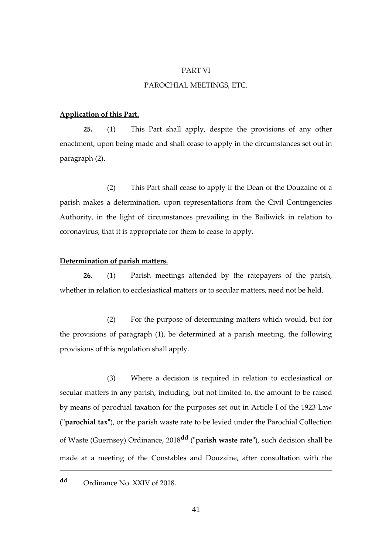#### PART VI

## PAROCHIAL MEETINGS, ETC.

#### **Application of this Part.**

**25.** (1) This Part shall apply, despite the provisions of any other enactment, upon being made and shall cease to apply in the circumstances set out in paragraph (2).

(2) This Part shall cease to apply if the Dean of the Douzaine of a parish makes a determination, upon representations from the Civil Contingencies Authority, in the light of circumstances prevailing in the Bailiwick in relation to coronavirus, that it is appropriate for them to cease to apply.

# **Determination of parish matters.**

**26.** (1) Parish meetings attended by the ratepayers of the parish, whether in relation to ecclesiastical matters or to secular matters, need not be held.

(2) For the purpose of determining matters which would, but for the provisions of paragraph (1), be determined at a parish meeting, the following provisions of this regulation shall apply.

(3) Where a decision is required in relation to ecclesiastical or secular matters in any parish, including, but not limited to, the amount to be raised by means of parochial taxation for the purposes set out in Article I of the 1923 Law (**"parochial tax"**), or the parish waste rate to be levied under the Parochial Collection of Waste (Guernsey) Ordinance, 2018**dd** (**"parish waste rate"**), such decision shall be made at a meeting of the Constables and Douzaine, after consultation with the

# **dd** Ordinance No. XXIV of 2018.

<u>.</u>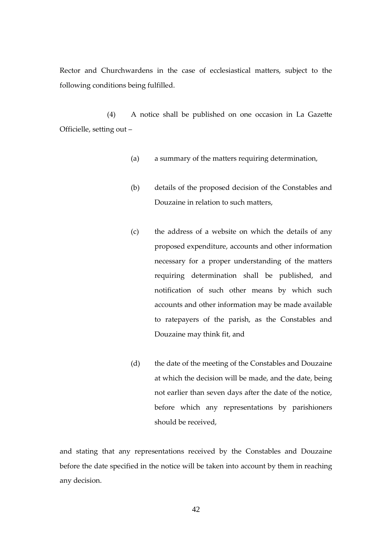Rector and Churchwardens in the case of ecclesiastical matters, subject to the following conditions being fulfilled.

(4) A notice shall be published on one occasion in La Gazette Officielle, setting out –

- (a) a summary of the matters requiring determination,
- (b) details of the proposed decision of the Constables and Douzaine in relation to such matters,
- (c) the address of a website on which the details of any proposed expenditure, accounts and other information necessary for a proper understanding of the matters requiring determination shall be published, and notification of such other means by which such accounts and other information may be made available to ratepayers of the parish, as the Constables and Douzaine may think fit, and
- (d) the date of the meeting of the Constables and Douzaine at which the decision will be made, and the date, being not earlier than seven days after the date of the notice, before which any representations by parishioners should be received,

and stating that any representations received by the Constables and Douzaine before the date specified in the notice will be taken into account by them in reaching any decision.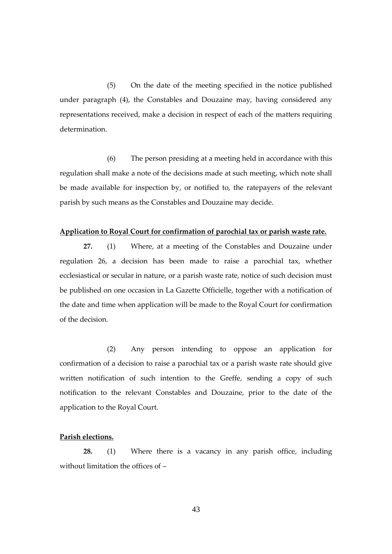(5) On the date of the meeting specified in the notice published under paragraph (4), the Constables and Douzaine may, having considered any representations received, make a decision in respect of each of the matters requiring determination.

(6) The person presiding at a meeting held in accordance with this regulation shall make a note of the decisions made at such meeting, which note shall be made available for inspection by, or notified to, the ratepayers of the relevant parish by such means as the Constables and Douzaine may decide.

#### **Application to Royal Court for confirmation of parochial tax or parish waste rate.**

**27.** (1) Where, at a meeting of the Constables and Douzaine under regulation 26, a decision has been made to raise a parochial tax, whether ecclesiastical or secular in nature, or a parish waste rate, notice of such decision must be published on one occasion in La Gazette Officielle, together with a notification of the date and time when application will be made to the Royal Court for confirmation of the decision.

(2) Any person intending to oppose an application for confirmation of a decision to raise a parochial tax or a parish waste rate should give written notification of such intention to the Greffe, sending a copy of such notification to the relevant Constables and Douzaine, prior to the date of the application to the Royal Court.

# **Parish elections.**

**28.** (1) Where there is a vacancy in any parish office, including without limitation the offices of –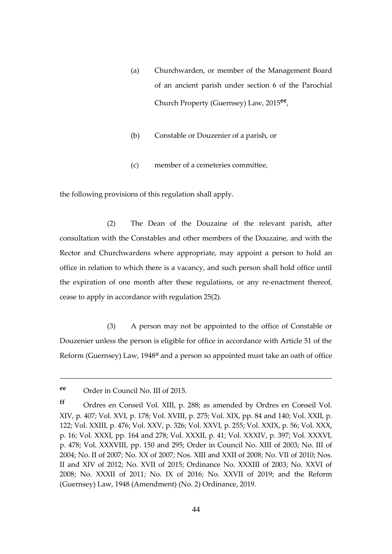- (a) Churchwarden, or member of the Management Board of an ancient parish under section 6 of the Parochial Church Property (Guernsey) Law, 2015**ee** ,
- (b) Constable or Douzenier of a parish, or
- (c) member of a cemeteries committee,

the following provisions of this regulation shall apply.

(2) The Dean of the Douzaine of the relevant parish, after consultation with the Constables and other members of the Douzaine, and with the Rector and Churchwardens where appropriate, may appoint a person to hold an office in relation to which there is a vacancy, and such person shall hold office until the expiration of one month after these regulations, or any re-enactment thereof, cease to apply in accordance with regulation 25(2).

(3) A person may not be appointed to the office of Constable or Douzenier unless the person is eligible for office in accordance with Article 51 of the Reform (Guernsey) Law, 1948**ff** and a person so appointed must take an oath of office

1

**ee** Order in Council No. III of 2015.

**ff** Ordres en Conseil Vol. XIII, p. 288; as amended by Ordres en Conseil Vol. XIV, p. 407; Vol. XVI, p. 178; Vol. XVIII, p. 275; Vol. XIX, pp. 84 and 140; Vol. XXII, p. 122; Vol. XXIII, p. 476; Vol. XXV, p. 326; Vol. XXVI, p. 255; Vol. XXIX, p. 56; Vol. XXX, p. 16; Vol. XXXI, pp. 164 and 278; Vol. XXXII, p. 41; Vol. XXXIV, p. 397; Vol. XXXVI, p. 478; Vol. XXXVIII, pp. 150 and 295; Order in Council No. XIII of 2003; No. III of 2004; No. II of 2007; No. XX of 2007; Nos. XIII and XXII of 2008; No. VII of 2010; Nos. II and XIV of 2012; No. XVII of 2015; Ordinance No. XXXIII of 2003; No. XXVI of 2008; No. XXXII of 2011; No. IX of 2016; No. XXVII of 2019; and the Reform (Guernsey) Law, 1948 (Amendment) (No. 2) Ordinance, 2019.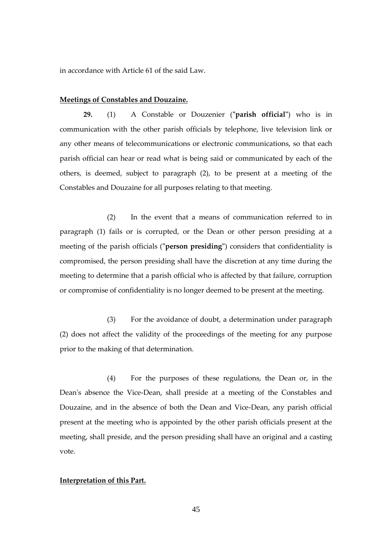in accordance with Article 61 of the said Law.

## **Meetings of Constables and Douzaine.**

**29.** (1) A Constable or Douzenier (**"parish official"**) who is in communication with the other parish officials by telephone, live television link or any other means of telecommunications or electronic communications, so that each parish official can hear or read what is being said or communicated by each of the others, is deemed, subject to paragraph (2), to be present at a meeting of the Constables and Douzaine for all purposes relating to that meeting.

(2) In the event that a means of communication referred to in paragraph (1) fails or is corrupted, or the Dean or other person presiding at a meeting of the parish officials (**"person presiding"**) considers that confidentiality is compromised, the person presiding shall have the discretion at any time during the meeting to determine that a parish official who is affected by that failure, corruption or compromise of confidentiality is no longer deemed to be present at the meeting.

(3) For the avoidance of doubt, a determination under paragraph (2) does not affect the validity of the proceedings of the meeting for any purpose prior to the making of that determination.

(4) For the purposes of these regulations, the Dean or, in the Dean's absence the Vice-Dean, shall preside at a meeting of the Constables and Douzaine, and in the absence of both the Dean and Vice-Dean, any parish official present at the meeting who is appointed by the other parish officials present at the meeting, shall preside, and the person presiding shall have an original and a casting vote.

# **Interpretation of this Part.**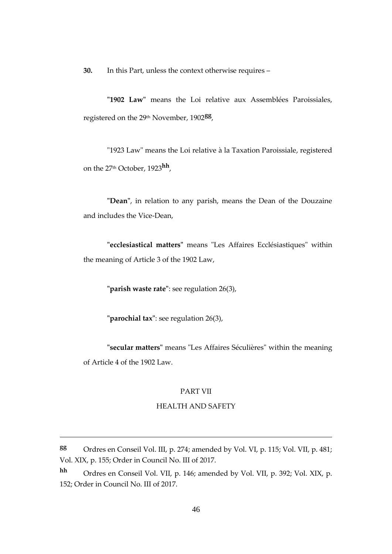**30.** In this Part, unless the context otherwise requires –

**"1902 Law"** means the Loi relative aux Assemblées Paroissiales, registered on the 29th November, 1902**gg** ,

"1923 Law" means the Loi relative à la Taxation Paroissiale, registered on the 27th October, 1923**hh** ,

**"Dean"**, in relation to any parish, means the Dean of the Douzaine and includes the Vice-Dean,

**"ecclesiastical matters"** means "Les Affaires Ecclésiastiques" within the meaning of Article 3 of the 1902 Law,

**"parish waste rate"**: see regulation 26(3),

**"parochial tax"**: see regulation 26(3),

1

**"secular matters"** means "Les Affaires Séculières" within the meaning of Article 4 of the 1902 Law.

#### PART VII

## HEALTH AND SAFETY

**gg** Ordres en Conseil Vol. III, p. 274; amended by Vol. VI, p. 115; Vol. VII, p. 481; Vol. XIX, p. 155; Order in Council No. III of 2017.

**hh** Ordres en Conseil Vol. VII, p. 146; amended by Vol. VII, p. 392; Vol. XIX, p. 152; Order in Council No. III of 2017.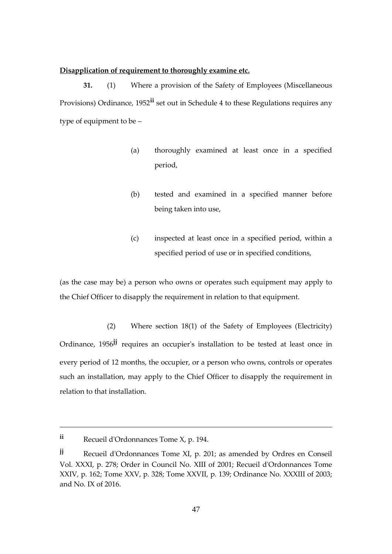## **Disapplication of requirement to thoroughly examine etc.**

**31.** (1) Where a provision of the Safety of Employees (Miscellaneous Provisions) Ordinance, 1952**ii** set out in Schedule 4 to these Regulations requires any type of equipment to be –

- (a) thoroughly examined at least once in a specified period,
- (b) tested and examined in a specified manner before being taken into use,
- (c) inspected at least once in a specified period, within a specified period of use or in specified conditions,

(as the case may be) a person who owns or operates such equipment may apply to the Chief Officer to disapply the requirement in relation to that equipment.

(2) Where section 18(1) of the Safety of Employees (Electricity) Ordinance, 1956**jj** requires an occupier's installation to be tested at least once in every period of 12 months, the occupier, or a person who owns, controls or operates such an installation, may apply to the Chief Officer to disapply the requirement in relation to that installation.

1

**ii** Recueil d'Ordonnances Tome X, p. 194.

**jj** Recueil d'Ordonnances Tome XI, p. 201; as amended by Ordres en Conseil Vol. XXXI, p. 278; Order in Council No. XIII of 2001; Recueil d'Ordonnances Tome XXIV, p. 162; Tome XXV, p. 328; Tome XXVII, p. 139; Ordinance No. XXXIII of 2003; and No. IX of 2016.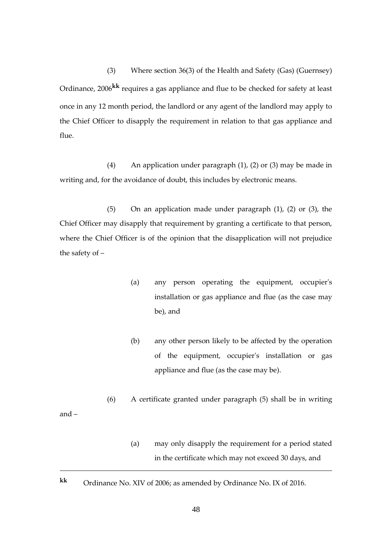(3) Where section 36(3) of the Health and Safety (Gas) (Guernsey) Ordinance, 2006**kk** requires a gas appliance and flue to be checked for safety at least once in any 12 month period, the landlord or any agent of the landlord may apply to the Chief Officer to disapply the requirement in relation to that gas appliance and flue.

(4) An application under paragraph (1), (2) or (3) may be made in writing and, for the avoidance of doubt, this includes by electronic means.

(5) On an application made under paragraph (1), (2) or (3), the Chief Officer may disapply that requirement by granting a certificate to that person, where the Chief Officer is of the opinion that the disapplication will not prejudice the safety of –

- (a) any person operating the equipment, occupier's installation or gas appliance and flue (as the case may be), and
- (b) any other person likely to be affected by the operation of the equipment, occupier's installation or gas appliance and flue (as the case may be).
- (6) A certificate granted under paragraph (5) shall be in writing
- and –

<u>.</u>

- (a) may only disapply the requirement for a period stated in the certificate which may not exceed 30 days, and
- **kk** Ordinance No. XIV of 2006; as amended by Ordinance No. IX of 2016.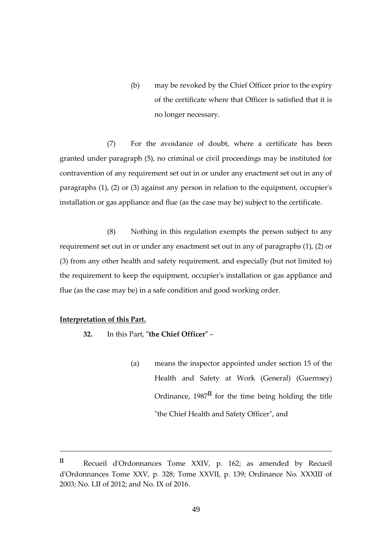(b) may be revoked by the Chief Officer prior to the expiry of the certificate where that Officer is satisfied that it is no longer necessary.

(7) For the avoidance of doubt, where a certificate has been granted under paragraph (5), no criminal or civil proceedings may be instituted for contravention of any requirement set out in or under any enactment set out in any of paragraphs (1), (2) or (3) against any person in relation to the equipment, occupier's installation or gas appliance and flue (as the case may be) subject to the certificate.

(8) Nothing in this regulation exempts the person subject to any requirement set out in or under any enactment set out in any of paragraphs (1), (2) or (3) from any other health and safety requirement, and especially (but not limited to) the requirement to keep the equipment, occupier's installation or gas appliance and flue (as the case may be) in a safe condition and good working order.

## **Interpretation of this Part.**

<u>.</u>

- **32.** In this Part, **"the Chief Officer"**
	- (a) means the inspector appointed under section 15 of the Health and Safety at Work (General) (Guernsey) Ordinance, 1987**ll** for the time being holding the title "the Chief Health and Safety Officer", and

**ll** Recueil d'Ordonnances Tome XXIV, p. 162; as amended by Recueil d'Ordonnances Tome XXV, p. 328; Tome XXVII, p. 139; Ordinance No. XXXIII of 2003; No. LII of 2012; and No. IX of 2016.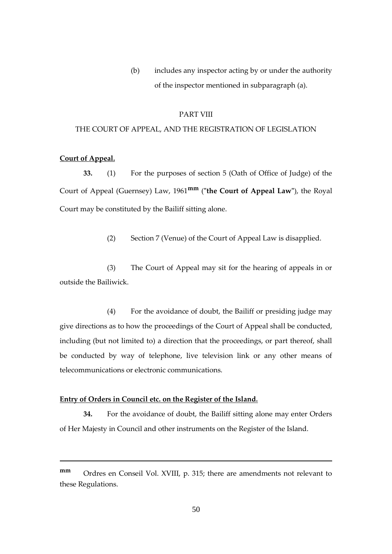(b) includes any inspector acting by or under the authority of the inspector mentioned in subparagraph (a).

#### PART VIII

### THE COURT OF APPEAL, AND THE REGISTRATION OF LEGISLATION

# **Court of Appeal.**

1

**33.** (1) For the purposes of section 5 (Oath of Office of Judge) of the Court of Appeal (Guernsey) Law, 1961**mm** (**"the Court of Appeal Law"**), the Royal Court may be constituted by the Bailiff sitting alone.

(2) Section 7 (Venue) of the Court of Appeal Law is disapplied.

(3) The Court of Appeal may sit for the hearing of appeals in or outside the Bailiwick.

(4) For the avoidance of doubt, the Bailiff or presiding judge may give directions as to how the proceedings of the Court of Appeal shall be conducted, including (but not limited to) a direction that the proceedings, or part thereof, shall be conducted by way of telephone, live television link or any other means of telecommunications or electronic communications.

## **Entry of Orders in Council etc. on the Register of the Island.**

**34.** For the avoidance of doubt, the Bailiff sitting alone may enter Orders of Her Majesty in Council and other instruments on the Register of the Island.

**mm** Ordres en Conseil Vol. XVIII, p. 315; there are amendments not relevant to these Regulations.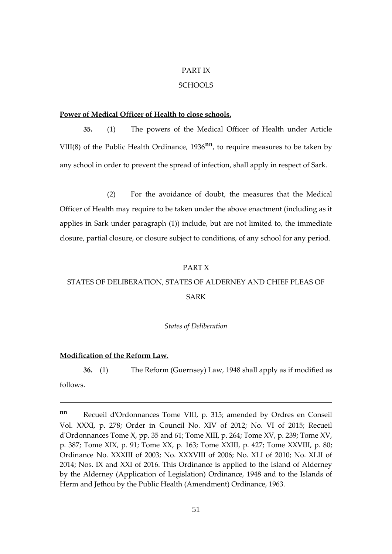## PART IX

# **SCHOOLS**

## **Power of Medical Officer of Health to close schools.**

**35.** (1) The powers of the Medical Officer of Health under Article VIII(8) of the Public Health Ordinance, 1936**nn**, to require measures to be taken by any school in order to prevent the spread of infection, shall apply in respect of Sark.

(2) For the avoidance of doubt, the measures that the Medical Officer of Health may require to be taken under the above enactment (including as it applies in Sark under paragraph (1)) include, but are not limited to, the immediate closure, partial closure, or closure subject to conditions, of any school for any period.

#### PART X

# STATES OF DELIBERATION, STATES OF ALDERNEY AND CHIEF PLEAS OF SARK

#### *States of Deliberation*

#### **Modification of the Reform Law.**

**36.** (1) The Reform (Guernsey) Law, 1948 shall apply as if modified as

follows.

1

**nn** Recueil d'Ordonnances Tome VIII, p. 315; amended by Ordres en Conseil Vol. XXXI, p. 278; Order in Council No. XIV of 2012; No. VI of 2015; Recueil d'Ordonnances Tome X, pp. 35 and 61; Tome XIII, p. 264; Tome XV, p. 239; Tome XV, p. 387; Tome XIX, p. 91; Tome XX, p. 163; Tome XXIII, p. 427; Tome XXVIII, p. 80; Ordinance No. XXXIII of 2003; No. XXXVIII of 2006; No. XLI of 2010; No. XLII of 2014; Nos. IX and XXI of 2016. This Ordinance is applied to the Island of Alderney by the Alderney (Application of Legislation) Ordinance, 1948 and to the Islands of Herm and Jethou by the Public Health (Amendment) Ordinance, 1963.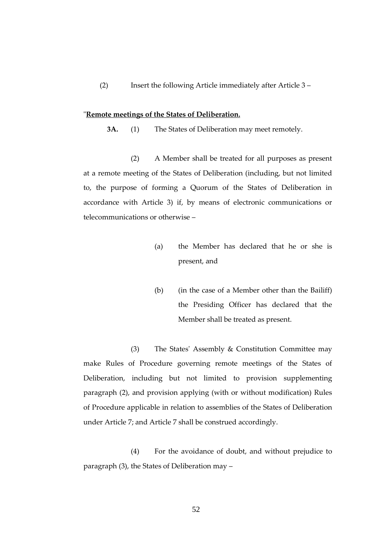(2) Insert the following Article immediately after Article 3 –

#### "**Remote meetings of the States of Deliberation.**

**3A.** (1) The States of Deliberation may meet remotely.

(2) A Member shall be treated for all purposes as present at a remote meeting of the States of Deliberation (including, but not limited to, the purpose of forming a Quorum of the States of Deliberation in accordance with Article 3) if, by means of electronic communications or telecommunications or otherwise –

- (a) the Member has declared that he or she is present, and
- (b) (in the case of a Member other than the Bailiff) the Presiding Officer has declared that the Member shall be treated as present.

(3) The States' Assembly & Constitution Committee may make Rules of Procedure governing remote meetings of the States of Deliberation, including but not limited to provision supplementing paragraph (2), and provision applying (with or without modification) Rules of Procedure applicable in relation to assemblies of the States of Deliberation under Article 7; and Article 7 shall be construed accordingly.

(4) For the avoidance of doubt, and without prejudice to paragraph (3), the States of Deliberation may –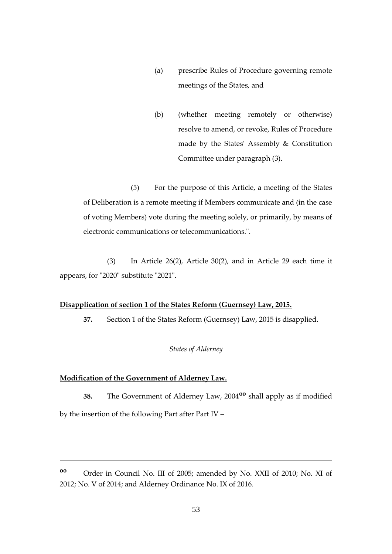- (a) prescribe Rules of Procedure governing remote meetings of the States, and
- (b) (whether meeting remotely or otherwise) resolve to amend, or revoke, Rules of Procedure made by the States' Assembly & Constitution Committee under paragraph (3).

(5) For the purpose of this Article, a meeting of the States of Deliberation is a remote meeting if Members communicate and (in the case of voting Members) vote during the meeting solely, or primarily, by means of electronic communications or telecommunications.".

 (3) In Article 26(2), Article 30(2), and in Article 29 each time it appears, for "2020" substitute "2021".

## **Disapplication of section 1 of the States Reform (Guernsey) Law, 2015.**

**37.** Section 1 of the States Reform (Guernsey) Law, 2015 is disapplied.

# *States of Alderney*

# **Modification of the Government of Alderney Law.**

1

**38.** The Government of Alderney Law, 2004**oo** shall apply as if modified by the insertion of the following Part after Part IV –

**oo** Order in Council No. III of 2005; amended by No. XXII of 2010; No. XI of 2012; No. V of 2014; and Alderney Ordinance No. IX of 2016.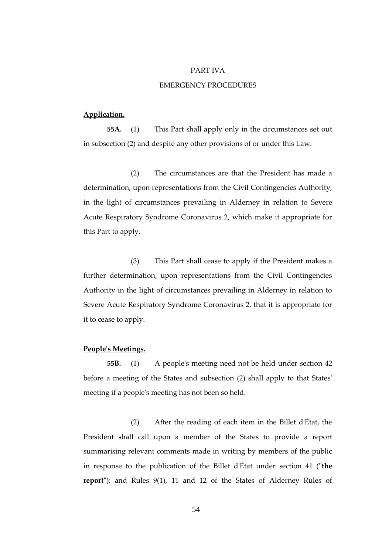#### PART IVA

## EMERGENCY PROCEDURES

# **Application.**

**55A.** (1) This Part shall apply only in the circumstances set out in subsection (2) and despite any other provisions of or under this Law.

(2) The circumstances are that the President has made a determination, upon representations from the Civil Contingencies Authority, in the light of circumstances prevailing in Alderney in relation to Severe Acute Respiratory Syndrome Coronavirus 2, which make it appropriate for this Part to apply.

(3) This Part shall cease to apply if the President makes a further determination, upon representations from the Civil Contingencies Authority in the light of circumstances prevailing in Alderney in relation to Severe Acute Respiratory Syndrome Coronavirus 2, that it is appropriate for it to cease to apply.

# **People's Meetings.**

**55B.** (1) A people's meeting need not be held under section 42 before a meeting of the States and subsection (2) shall apply to that States' meeting if a people's meeting has not been so held.

(2) After the reading of each item in the Billet d'État, the President shall call upon a member of the States to provide a report summarising relevant comments made in writing by members of the public in response to the publication of the Billet d'État under section 41 (**"the report"**); and Rules 9(1), 11 and 12 of the States of Alderney Rules of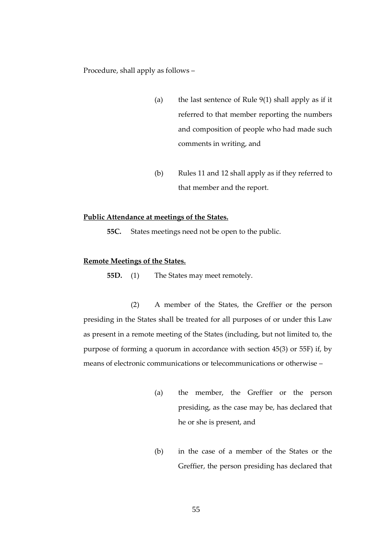Procedure, shall apply as follows –

- (a) the last sentence of Rule 9(1) shall apply as if it referred to that member reporting the numbers and composition of people who had made such comments in writing, and
- (b) Rules 11 and 12 shall apply as if they referred to that member and the report.

#### **Public Attendance at meetings of the States.**

**55C.** States meetings need not be open to the public.

## **Remote Meetings of the States.**

**55D.** (1) The States may meet remotely.

(2) A member of the States, the Greffier or the person presiding in the States shall be treated for all purposes of or under this Law as present in a remote meeting of the States (including, but not limited to, the purpose of forming a quorum in accordance with section 45(3) or 55F) if, by means of electronic communications or telecommunications or otherwise –

- (a) the member, the Greffier or the person presiding, as the case may be, has declared that he or she is present, and
- (b) in the case of a member of the States or the Greffier, the person presiding has declared that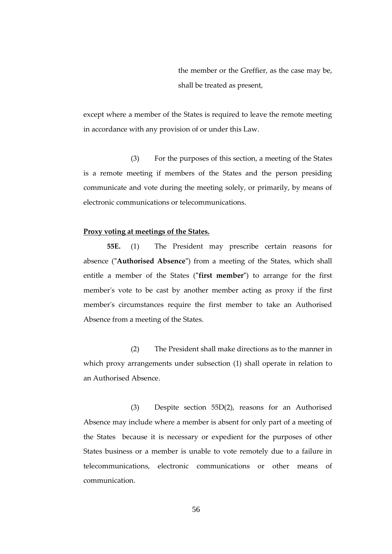the member or the Greffier, as the case may be, shall be treated as present,

except where a member of the States is required to leave the remote meeting in accordance with any provision of or under this Law.

(3) For the purposes of this section, a meeting of the States is a remote meeting if members of the States and the person presiding communicate and vote during the meeting solely, or primarily, by means of electronic communications or telecommunications.

#### **Proxy voting at meetings of the States.**

**55E.** (1) The President may prescribe certain reasons for absence (**"Authorised Absence"**) from a meeting of the States, which shall entitle a member of the States (**"first member"**) to arrange for the first member's vote to be cast by another member acting as proxy if the first member's circumstances require the first member to take an Authorised Absence from a meeting of the States.

(2) The President shall make directions as to the manner in which proxy arrangements under subsection (1) shall operate in relation to an Authorised Absence.

(3) Despite section 55D(2), reasons for an Authorised Absence may include where a member is absent for only part of a meeting of the States because it is necessary or expedient for the purposes of other States business or a member is unable to vote remotely due to a failure in telecommunications, electronic communications or other means of communication.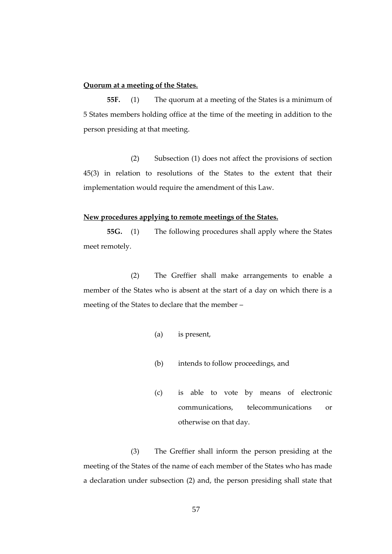# **Quorum at a meeting of the States.**

**55F.** (1) The quorum at a meeting of the States is a minimum of 5 States members holding office at the time of the meeting in addition to the person presiding at that meeting.

(2) Subsection (1) does not affect the provisions of section 45(3) in relation to resolutions of the States to the extent that their implementation would require the amendment of this Law.

#### **New procedures applying to remote meetings of the States.**

**55G.** (1) The following procedures shall apply where the States meet remotely.

(2) The Greffier shall make arrangements to enable a member of the States who is absent at the start of a day on which there is a meeting of the States to declare that the member –

- (a) is present,
- (b) intends to follow proceedings, and
- (c) is able to vote by means of electronic communications, telecommunications or otherwise on that day.

(3) The Greffier shall inform the person presiding at the meeting of the States of the name of each member of the States who has made a declaration under subsection (2) and, the person presiding shall state that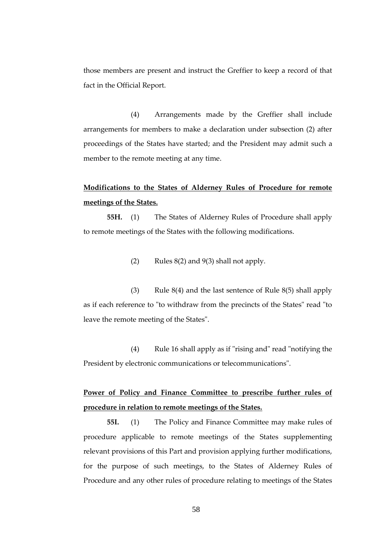those members are present and instruct the Greffier to keep a record of that fact in the Official Report.

(4) Arrangements made by the Greffier shall include arrangements for members to make a declaration under subsection (2) after proceedings of the States have started; and the President may admit such a member to the remote meeting at any time.

# **Modifications to the States of Alderney Rules of Procedure for remote meetings of the States.**

**55H.** (1) The States of Alderney Rules of Procedure shall apply to remote meetings of the States with the following modifications.

(2) Rules  $8(2)$  and  $9(3)$  shall not apply.

(3) Rule 8(4) and the last sentence of Rule 8(5) shall apply as if each reference to "to withdraw from the precincts of the States" read "to leave the remote meeting of the States".

(4) Rule 16 shall apply as if "rising and" read "notifying the President by electronic communications or telecommunications".

# **Power of Policy and Finance Committee to prescribe further rules of procedure in relation to remote meetings of the States.**

**55I.** (1) The Policy and Finance Committee may make rules of procedure applicable to remote meetings of the States supplementing relevant provisions of this Part and provision applying further modifications, for the purpose of such meetings, to the States of Alderney Rules of Procedure and any other rules of procedure relating to meetings of the States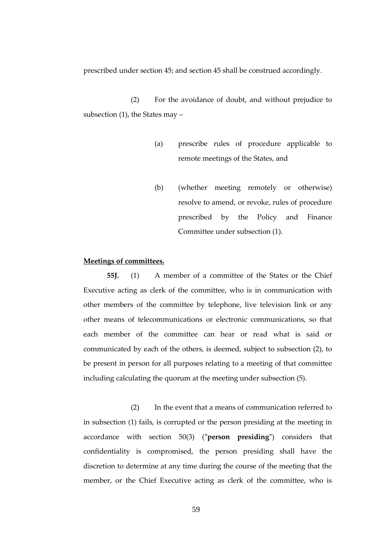prescribed under section 45; and section 45 shall be construed accordingly.

(2) For the avoidance of doubt, and without prejudice to subsection (1), the States may –

- (a) prescribe rules of procedure applicable to remote meetings of the States, and
- (b) (whether meeting remotely or otherwise) resolve to amend, or revoke, rules of procedure prescribed by the Policy and Finance Committee under subsection (1).

## **Meetings of committees.**

**55J.** (1) A member of a committee of the States or the Chief Executive acting as clerk of the committee, who is in communication with other members of the committee by telephone, live television link or any other means of telecommunications or electronic communications, so that each member of the committee can hear or read what is said or communicated by each of the others, is deemed, subject to subsection (2), to be present in person for all purposes relating to a meeting of that committee including calculating the quorum at the meeting under subsection (5).

(2) In the event that a means of communication referred to in subsection (1) fails, is corrupted or the person presiding at the meeting in accordance with section 50(3) (**"person presiding"**) considers that confidentiality is compromised, the person presiding shall have the discretion to determine at any time during the course of the meeting that the member, or the Chief Executive acting as clerk of the committee, who is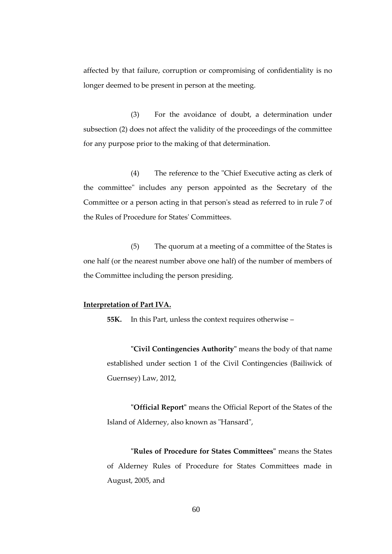affected by that failure, corruption or compromising of confidentiality is no longer deemed to be present in person at the meeting.

(3) For the avoidance of doubt, a determination under subsection (2) does not affect the validity of the proceedings of the committee for any purpose prior to the making of that determination.

(4) The reference to the "Chief Executive acting as clerk of the committee" includes any person appointed as the Secretary of the Committee or a person acting in that person's stead as referred to in rule 7 of the Rules of Procedure for States' Committees.

(5) The quorum at a meeting of a committee of the States is one half (or the nearest number above one half) of the number of members of the Committee including the person presiding.

#### **Interpretation of Part IVA.**

**55K.** In this Part, unless the context requires otherwise –

**"Civil Contingencies Authority"** means the body of that name established under section 1 of the Civil Contingencies (Bailiwick of Guernsey) Law, 2012,

**"Official Report"** means the Official Report of the States of the Island of Alderney, also known as "Hansard",

**"Rules of Procedure for States Committees"** means the States of Alderney Rules of Procedure for States Committees made in August, 2005, and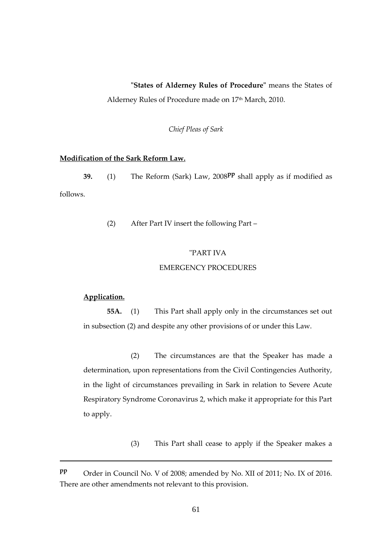# **"States of Alderney Rules of Procedure"** means the States of

Alderney Rules of Procedure made on 17<sup>th</sup> March, 2010.

*Chief Pleas of Sark*

# **Modification of the Sark Reform Law.**

**39.** (1) The Reform (Sark) Law, 2008**pp** shall apply as if modified as follows.

(2) After Part IV insert the following Part –

#### "PART IVA

#### EMERGENCY PROCEDURES

# **Application.**

1

**55A.** (1) This Part shall apply only in the circumstances set out in subsection (2) and despite any other provisions of or under this Law.

(2) The circumstances are that the Speaker has made a determination, upon representations from the Civil Contingencies Authority, in the light of circumstances prevailing in Sark in relation to Severe Acute Respiratory Syndrome Coronavirus 2, which make it appropriate for this Part to apply.

(3) This Part shall cease to apply if the Speaker makes a

**pp** Order in Council No. V of 2008; amended by No. XII of 2011; No. IX of 2016. There are other amendments not relevant to this provision.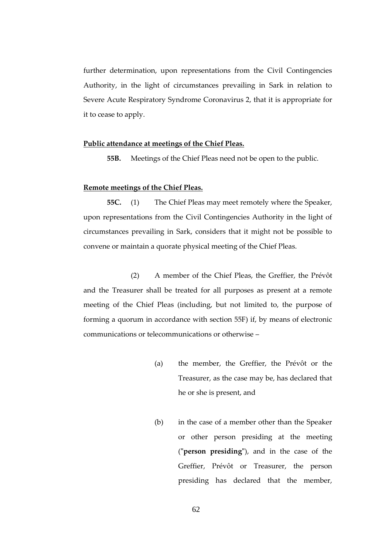further determination, upon representations from the Civil Contingencies Authority, in the light of circumstances prevailing in Sark in relation to Severe Acute Respiratory Syndrome Coronavirus 2, that it is appropriate for it to cease to apply.

#### **Public attendance at meetings of the Chief Pleas.**

**55B.** Meetings of the Chief Pleas need not be open to the public.

## **Remote meetings of the Chief Pleas.**

**55C.** (1) The Chief Pleas may meet remotely where the Speaker, upon representations from the Civil Contingencies Authority in the light of circumstances prevailing in Sark, considers that it might not be possible to convene or maintain a quorate physical meeting of the Chief Pleas.

(2) A member of the Chief Pleas, the Greffier, the Prévôt and the Treasurer shall be treated for all purposes as present at a remote meeting of the Chief Pleas (including, but not limited to, the purpose of forming a quorum in accordance with section 55F) if, by means of electronic communications or telecommunications or otherwise –

- (a) the member, the Greffier, the Prévôt or the Treasurer, as the case may be, has declared that he or she is present, and
- (b) in the case of a member other than the Speaker or other person presiding at the meeting (**"person presiding"**), and in the case of the Greffier, Prévôt or Treasurer, the person presiding has declared that the member,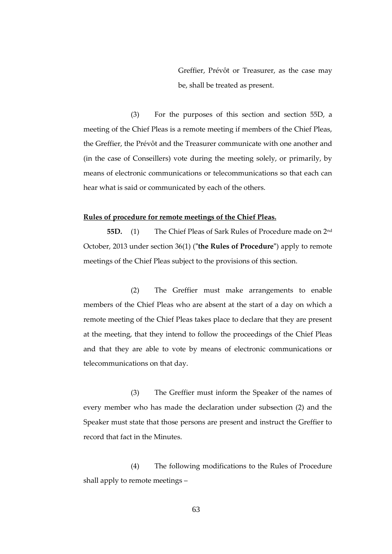Greffier, Prévôt or Treasurer, as the case may be, shall be treated as present.

(3) For the purposes of this section and section 55D, a meeting of the Chief Pleas is a remote meeting if members of the Chief Pleas, the Greffier, the Prévôt and the Treasurer communicate with one another and (in the case of Conseillers) vote during the meeting solely, or primarily, by means of electronic communications or telecommunications so that each can hear what is said or communicated by each of the others.

#### **Rules of procedure for remote meetings of the Chief Pleas.**

**55D.** (1) The Chief Pleas of Sark Rules of Procedure made on 2nd October, 2013 under section 36(1) (**"the Rules of Procedure"**) apply to remote meetings of the Chief Pleas subject to the provisions of this section.

(2) The Greffier must make arrangements to enable members of the Chief Pleas who are absent at the start of a day on which a remote meeting of the Chief Pleas takes place to declare that they are present at the meeting, that they intend to follow the proceedings of the Chief Pleas and that they are able to vote by means of electronic communications or telecommunications on that day.

(3) The Greffier must inform the Speaker of the names of every member who has made the declaration under subsection (2) and the Speaker must state that those persons are present and instruct the Greffier to record that fact in the Minutes.

(4) The following modifications to the Rules of Procedure shall apply to remote meetings –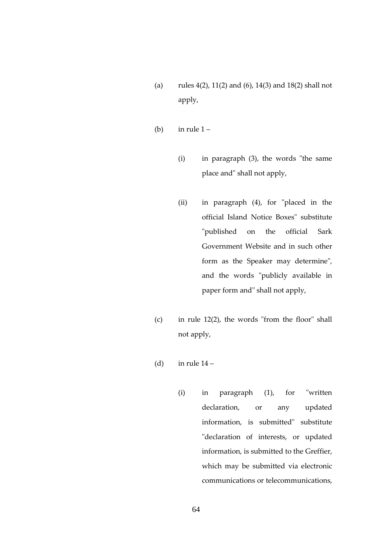- (a) rules 4(2), 11(2) and (6), 14(3) and 18(2) shall not apply,
- (b) in rule  $1 -$ 
	- (i) in paragraph (3), the words "the same place and" shall not apply,
	- (ii) in paragraph (4), for "placed in the official Island Notice Boxes" substitute "published on the official Sark Government Website and in such other form as the Speaker may determine", and the words "publicly available in paper form and" shall not apply,
- (c) in rule 12(2), the words "from the floor" shall not apply,
- (d) in rule  $14$ 
	- (i) in paragraph (1), for "written declaration, or any updated information, is submitted" substitute "declaration of interests, or updated information, is submitted to the Greffier, which may be submitted via electronic communications or telecommunications,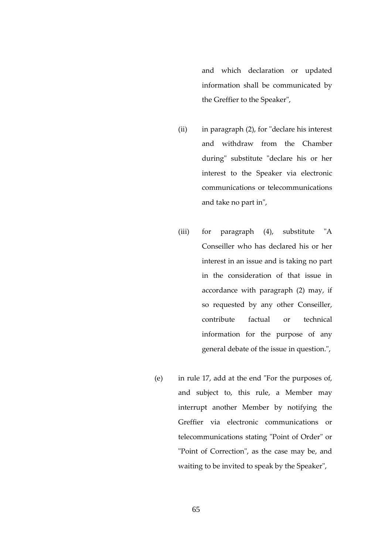and which declaration or updated information shall be communicated by the Greffier to the Speaker",

- (ii) in paragraph (2), for "declare his interest and withdraw from the Chamber during" substitute "declare his or her interest to the Speaker via electronic communications or telecommunications and take no part in",
- (iii) for paragraph (4), substitute "A Conseiller who has declared his or her interest in an issue and is taking no part in the consideration of that issue in accordance with paragraph (2) may, if so requested by any other Conseiller, contribute factual or technical information for the purpose of any general debate of the issue in question.",
- (e) in rule 17, add at the end "For the purposes of, and subject to, this rule, a Member may interrupt another Member by notifying the Greffier via electronic communications or telecommunications stating "Point of Order" or "Point of Correction", as the case may be, and waiting to be invited to speak by the Speaker",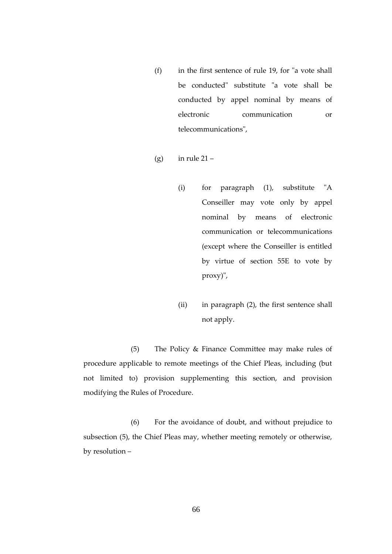- (f) in the first sentence of rule 19, for "a vote shall be conducted" substitute "a vote shall be conducted by appel nominal by means of electronic communication or telecommunications",
- (g) in rule  $21 -$ 
	- (i) for paragraph (1), substitute "A Conseiller may vote only by appel nominal by means of electronic communication or telecommunications (except where the Conseiller is entitled by virtue of section 55E to vote by proxy)",
	- (ii) in paragraph (2), the first sentence shall not apply.

(5) The Policy & Finance Committee may make rules of procedure applicable to remote meetings of the Chief Pleas, including (but not limited to) provision supplementing this section, and provision modifying the Rules of Procedure.

(6) For the avoidance of doubt, and without prejudice to subsection (5), the Chief Pleas may, whether meeting remotely or otherwise, by resolution –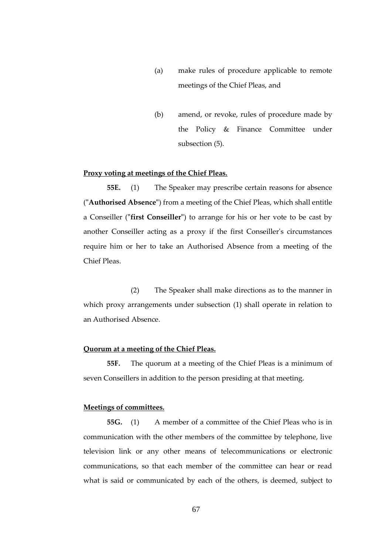- (a) make rules of procedure applicable to remote meetings of the Chief Pleas, and
- (b) amend, or revoke, rules of procedure made by the Policy & Finance Committee under subsection (5).

## **Proxy voting at meetings of the Chief Pleas.**

**55E.** (1) The Speaker may prescribe certain reasons for absence (**"Authorised Absence"**) from a meeting of the Chief Pleas, which shall entitle a Conseiller (**"first Conseiller"**) to arrange for his or her vote to be cast by another Conseiller acting as a proxy if the first Conseiller's circumstances require him or her to take an Authorised Absence from a meeting of the Chief Pleas.

(2) The Speaker shall make directions as to the manner in which proxy arrangements under subsection (1) shall operate in relation to an Authorised Absence.

## **Quorum at a meeting of the Chief Pleas.**

**55F.** The quorum at a meeting of the Chief Pleas is a minimum of seven Conseillers in addition to the person presiding at that meeting.

### **Meetings of committees.**

**55G.** (1) A member of a committee of the Chief Pleas who is in communication with the other members of the committee by telephone, live television link or any other means of telecommunications or electronic communications, so that each member of the committee can hear or read what is said or communicated by each of the others, is deemed, subject to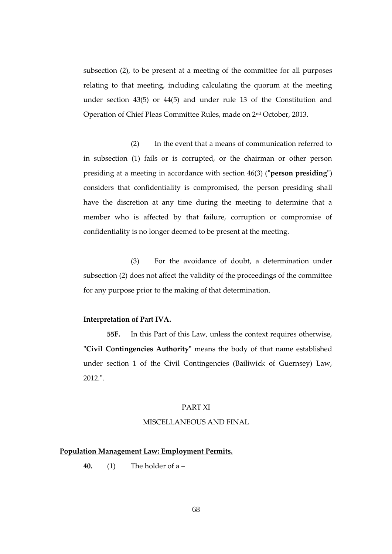subsection (2), to be present at a meeting of the committee for all purposes relating to that meeting, including calculating the quorum at the meeting under section 43(5) or 44(5) and under rule 13 of the Constitution and Operation of Chief Pleas Committee Rules, made on 2nd October, 2013.

(2) In the event that a means of communication referred to in subsection (1) fails or is corrupted, or the chairman or other person presiding at a meeting in accordance with section 46(3) (**"person presiding"**) considers that confidentiality is compromised, the person presiding shall have the discretion at any time during the meeting to determine that a member who is affected by that failure, corruption or compromise of confidentiality is no longer deemed to be present at the meeting.

(3) For the avoidance of doubt, a determination under subsection (2) does not affect the validity of the proceedings of the committee for any purpose prior to the making of that determination.

## **Interpretation of Part IVA.**

**55F.** In this Part of this Law, unless the context requires otherwise, **"Civil Contingencies Authority"** means the body of that name established under section 1 of the Civil Contingencies (Bailiwick of Guernsey) Law, 2012.".

# PART XI

# MISCELLANEOUS AND FINAL

## **Population Management Law: Employment Permits.**

**40.** (1) The holder of a –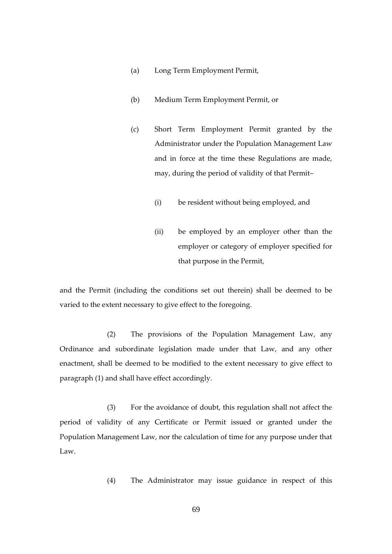- (a) Long Term Employment Permit,
- (b) Medium Term Employment Permit, or
- (c) Short Term Employment Permit granted by the Administrator under the Population Management Law and in force at the time these Regulations are made, may, during the period of validity of that Permit–
	- (i) be resident without being employed, and
	- (ii) be employed by an employer other than the employer or category of employer specified for that purpose in the Permit,

and the Permit (including the conditions set out therein) shall be deemed to be varied to the extent necessary to give effect to the foregoing.

(2) The provisions of the Population Management Law, any Ordinance and subordinate legislation made under that Law, and any other enactment, shall be deemed to be modified to the extent necessary to give effect to paragraph (1) and shall have effect accordingly.

(3) For the avoidance of doubt, this regulation shall not affect the period of validity of any Certificate or Permit issued or granted under the Population Management Law, nor the calculation of time for any purpose under that Law.

(4) The Administrator may issue guidance in respect of this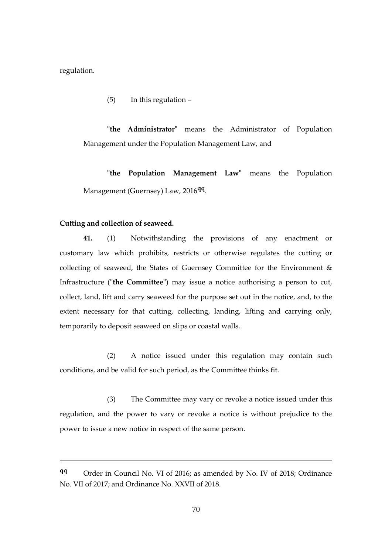regulation.

1

(5) In this regulation –

**"the Administrator"** means the Administrator of Population Management under the Population Management Law, and

**"the Population Management Law"** means the Population Management (Guernsey) Law, 2016**qq** .

#### **Cutting and collection of seaweed.**

**41.** (1) Notwithstanding the provisions of any enactment or customary law which prohibits, restricts or otherwise regulates the cutting or collecting of seaweed, the States of Guernsey Committee for the Environment & Infrastructure (**"the Committee"**) may issue a notice authorising a person to cut, collect, land, lift and carry seaweed for the purpose set out in the notice, and, to the extent necessary for that cutting, collecting, landing, lifting and carrying only, temporarily to deposit seaweed on slips or coastal walls.

(2) A notice issued under this regulation may contain such conditions, and be valid for such period, as the Committee thinks fit.

(3) The Committee may vary or revoke a notice issued under this regulation, and the power to vary or revoke a notice is without prejudice to the power to issue a new notice in respect of the same person.

**qq** Order in Council No. VI of 2016; as amended by No. IV of 2018; Ordinance No. VII of 2017; and Ordinance No. XXVII of 2018.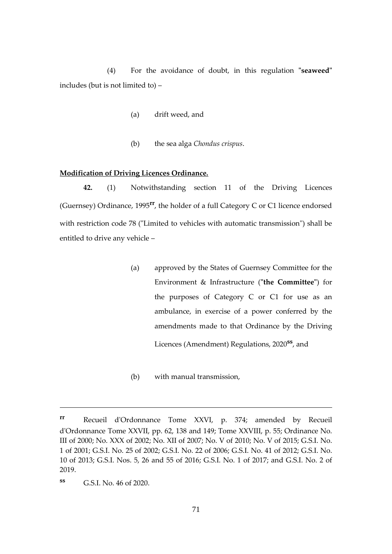(4) For the avoidance of doubt, in this regulation **"seaweed"** includes (but is not limited to) –

- (a) drift weed, and
- (b) the sea alga *Chondus crispus*.

### **Modification of Driving Licences Ordinance.**

**42.** (1) Notwithstanding section 11 of the Driving Licences (Guernsey) Ordinance, 1995**rr**, the holder of a full Category C or C1 licence endorsed with restriction code 78 ("Limited to vehicles with automatic transmission") shall be entitled to drive any vehicle –

- (a) approved by the States of Guernsey Committee for the Environment & Infrastructure (**"the Committee"**) for the purposes of Category C or C1 for use as an ambulance, in exercise of a power conferred by the amendments made to that Ordinance by the Driving Licences (Amendment) Regulations, 2020**ss**, and
- (b) with manual transmission,

1

**rr** Recueil d'Ordonnance Tome XXVI, p. 374; amended by Recueil d'Ordonnance Tome XXVII, pp. 62, 138 and 149; Tome XXVIII, p. 55; Ordinance No. III of 2000; No. XXX of 2002; No. XII of 2007; No. V of 2010; No. V of 2015; G.S.I. No. 1 of 2001; G.S.I. No. 25 of 2002; G.S.I. No. 22 of 2006; G.S.I. No. 41 of 2012; G.S.I. No. 10 of 2013; G.S.I. Nos. 5, 26 and 55 of 2016; G.S.I. No. 1 of 2017; and G.S.I. No. 2 of 2019.

**ss** G.S.I. No. 46 of 2020.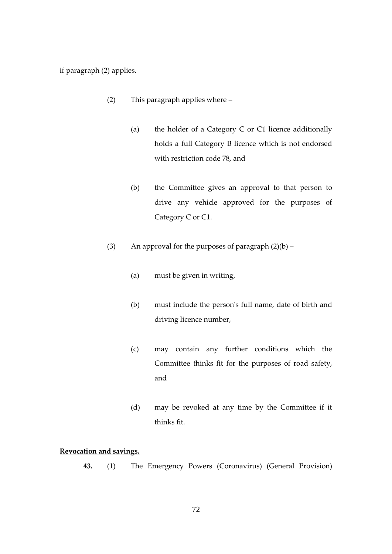if paragraph (2) applies.

- (2) This paragraph applies where
	- (a) the holder of a Category C or C1 licence additionally holds a full Category B licence which is not endorsed with restriction code 78, and
	- (b) the Committee gives an approval to that person to drive any vehicle approved for the purposes of Category C or C1.
- (3) An approval for the purposes of paragraph  $(2)(b)$ 
	- (a) must be given in writing,
	- (b) must include the person's full name, date of birth and driving licence number,
	- (c) may contain any further conditions which the Committee thinks fit for the purposes of road safety, and
	- (d) may be revoked at any time by the Committee if it thinks fit.

# **Revocation and savings.**

**43.** (1) The Emergency Powers (Coronavirus) (General Provision)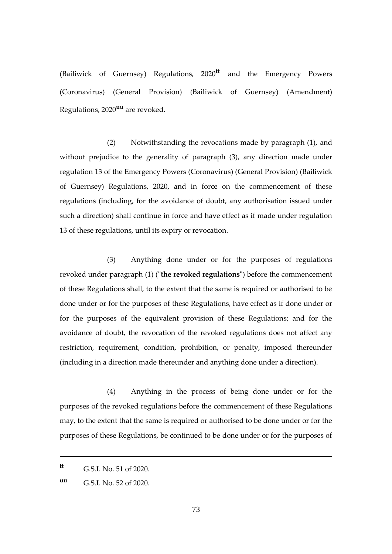(Bailiwick of Guernsey) Regulations, 2020**tt** and the Emergency Powers (Coronavirus) (General Provision) (Bailiwick of Guernsey) (Amendment) Regulations, 2020**uu** are revoked.

(2) Notwithstanding the revocations made by paragraph (1), and without prejudice to the generality of paragraph (3), any direction made under regulation 13 of the Emergency Powers (Coronavirus) (General Provision) (Bailiwick of Guernsey) Regulations, 2020, and in force on the commencement of these regulations (including, for the avoidance of doubt, any authorisation issued under such a direction) shall continue in force and have effect as if made under regulation 13 of these regulations, until its expiry or revocation.

(3) Anything done under or for the purposes of regulations revoked under paragraph (1) (**"the revoked regulations"**) before the commencement of these Regulations shall, to the extent that the same is required or authorised to be done under or for the purposes of these Regulations, have effect as if done under or for the purposes of the equivalent provision of these Regulations; and for the avoidance of doubt, the revocation of the revoked regulations does not affect any restriction, requirement, condition, prohibition, or penalty, imposed thereunder (including in a direction made thereunder and anything done under a direction).

(4) Anything in the process of being done under or for the purposes of the revoked regulations before the commencement of these Regulations may, to the extent that the same is required or authorised to be done under or for the purposes of these Regulations, be continued to be done under or for the purposes of

1

**tt** G.S.I. No. 51 of 2020.

**uu** G.S.I. No. 52 of 2020.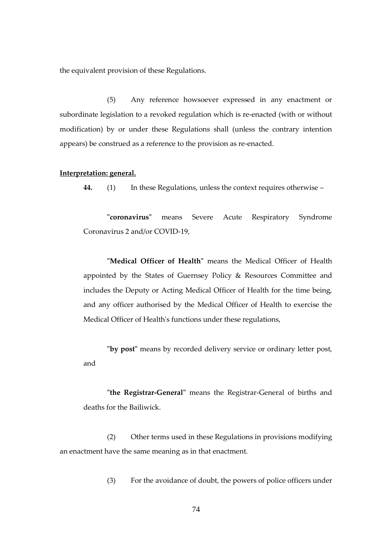the equivalent provision of these Regulations.

(5) Any reference howsoever expressed in any enactment or subordinate legislation to a revoked regulation which is re-enacted (with or without modification) by or under these Regulations shall (unless the contrary intention appears) be construed as a reference to the provision as re-enacted.

#### **Interpretation: general.**

**44.** (1) In these Regulations, unless the context requires otherwise –

**"coronavirus"** means Severe Acute Respiratory Syndrome Coronavirus 2 and/or COVID-19,

**"Medical Officer of Health"** means the Medical Officer of Health appointed by the States of Guernsey Policy & Resources Committee and includes the Deputy or Acting Medical Officer of Health for the time being, and any officer authorised by the Medical Officer of Health to exercise the Medical Officer of Health's functions under these regulations,

**"by post"** means by recorded delivery service or ordinary letter post, and

**"the Registrar-General"** means the Registrar-General of births and deaths for the Bailiwick.

(2) Other terms used in these Regulations in provisions modifying an enactment have the same meaning as in that enactment.

(3) For the avoidance of doubt, the powers of police officers under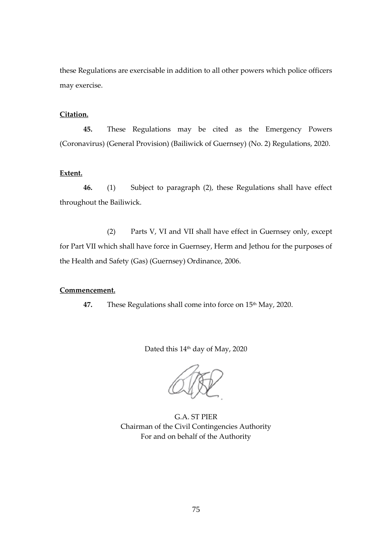these Regulations are exercisable in addition to all other powers which police officers may exercise.

# **Citation.**

**45.** These Regulations may be cited as the Emergency Powers (Coronavirus) (General Provision) (Bailiwick of Guernsey) (No. 2) Regulations, 2020.

# **Extent.**

**46.** (1) Subject to paragraph (2), these Regulations shall have effect throughout the Bailiwick.

(2) Parts V, VI and VII shall have effect in Guernsey only, except for Part VII which shall have force in Guernsey, Herm and Jethou for the purposes of the Health and Safety (Gas) (Guernsey) Ordinance, 2006.

#### **Commencement.**

47. These Regulations shall come into force on 15<sup>th</sup> May, 2020.

Dated this 14<sup>th</sup> day of May, 2020

G.A. ST PIER Chairman of the Civil Contingencies Authority For and on behalf of the Authority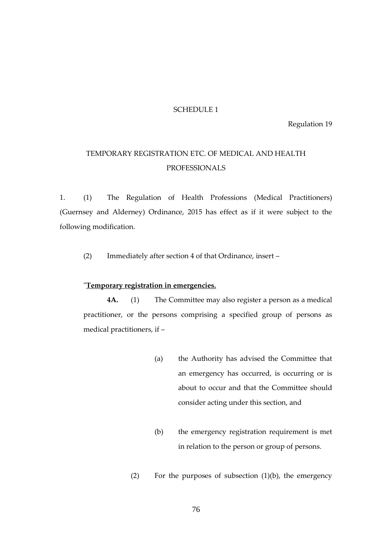#### SCHEDULE 1

Regulation 19

# TEMPORARY REGISTRATION ETC. OF MEDICAL AND HEALTH PROFESSIONALS

1. (1) The Regulation of Health Professions (Medical Practitioners) (Guernsey and Alderney) Ordinance, 2015 has effect as if it were subject to the following modification.

(2) Immediately after section 4 of that Ordinance, insert –

# "**Temporary registration in emergencies.**

**4A.** (1) The Committee may also register a person as a medical practitioner, or the persons comprising a specified group of persons as medical practitioners, if –

- (a) the Authority has advised the Committee that an emergency has occurred, is occurring or is about to occur and that the Committee should consider acting under this section, and
- (b) the emergency registration requirement is met in relation to the person or group of persons.
- (2) For the purposes of subsection (1)(b), the emergency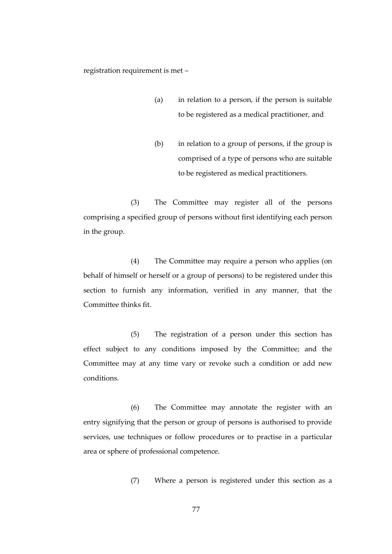registration requirement is met –

- (a) in relation to a person, if the person is suitable to be registered as a medical practitioner, and
- (b) in relation to a group of persons, if the group is comprised of a type of persons who are suitable to be registered as medical practitioners.

(3) The Committee may register all of the persons comprising a specified group of persons without first identifying each person in the group.

(4) The Committee may require a person who applies (on behalf of himself or herself or a group of persons) to be registered under this section to furnish any information, verified in any manner, that the Committee thinks fit.

(5) The registration of a person under this section has effect subject to any conditions imposed by the Committee; and the Committee may at any time vary or revoke such a condition or add new conditions.

(6) The Committee may annotate the register with an entry signifying that the person or group of persons is authorised to provide services, use techniques or follow procedures or to practise in a particular area or sphere of professional competence.

(7) Where a person is registered under this section as a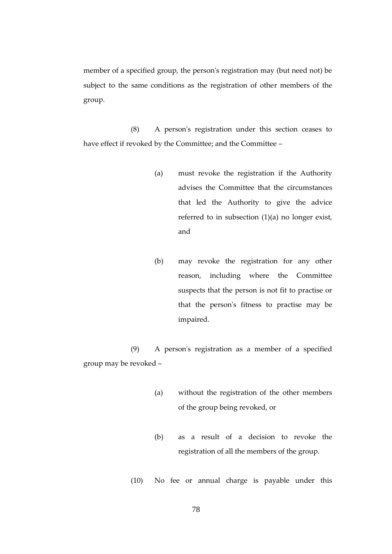member of a specified group, the person's registration may (but need not) be subject to the same conditions as the registration of other members of the group.

(8) A person's registration under this section ceases to have effect if revoked by the Committee; and the Committee –

- (a) must revoke the registration if the Authority advises the Committee that the circumstances that led the Authority to give the advice referred to in subsection  $(1)(a)$  no longer exist, and
- (b) may revoke the registration for any other reason, including where the Committee suspects that the person is not fit to practise or that the person's fitness to practise may be impaired.

(9) A person's registration as a member of a specified group may be revoked –

- (a) without the registration of the other members of the group being revoked, or
- (b) as a result of a decision to revoke the registration of all the members of the group.
- (10) No fee or annual charge is payable under this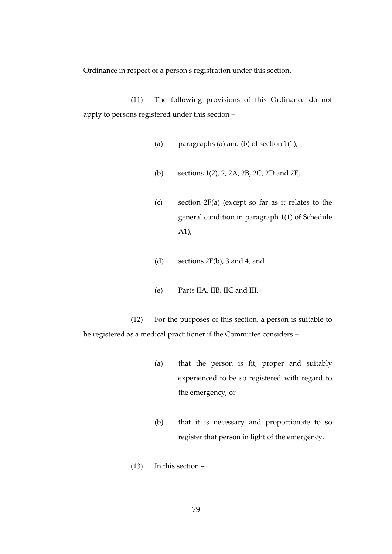Ordinance in respect of a person's registration under this section.

(11) The following provisions of this Ordinance do not apply to persons registered under this section –

- (a) paragraphs (a) and (b) of section  $1(1)$ ,
- (b) sections 1(2), 2, 2A, 2B, 2C, 2D and 2E,
- (c) section 2F(a) (except so far as it relates to the general condition in paragraph 1(1) of Schedule A1),
- (d) sections 2F(b), 3 and 4, and
- (e) Parts IIA, IIB, IIC and III.

(12) For the purposes of this section, a person is suitable to be registered as a medical practitioner if the Committee considers –

- (a) that the person is fit, proper and suitably experienced to be so registered with regard to the emergency, or
- (b) that it is necessary and proportionate to so register that person in light of the emergency.
- (13) In this section –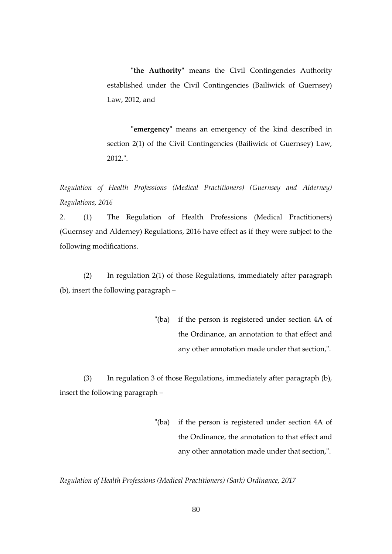**"the Authority"** means the Civil Contingencies Authority established under the Civil Contingencies (Bailiwick of Guernsey) Law, 2012, and

**"emergency"** means an emergency of the kind described in section 2(1) of the Civil Contingencies (Bailiwick of Guernsey) Law, 2012.".

*Regulation of Health Professions (Medical Practitioners) (Guernsey and Alderney) Regulations, 2016*

2. (1) The Regulation of Health Professions (Medical Practitioners) (Guernsey and Alderney) Regulations, 2016 have effect as if they were subject to the following modifications.

(2) In regulation 2(1) of those Regulations, immediately after paragraph (b), insert the following paragraph –

> "(ba) if the person is registered under section 4A of the Ordinance, an annotation to that effect and any other annotation made under that section,".

(3) In regulation 3 of those Regulations, immediately after paragraph (b), insert the following paragraph –

> "(ba) if the person is registered under section 4A of the Ordinance, the annotation to that effect and any other annotation made under that section,".

*Regulation of Health Professions (Medical Practitioners) (Sark) Ordinance, 2017*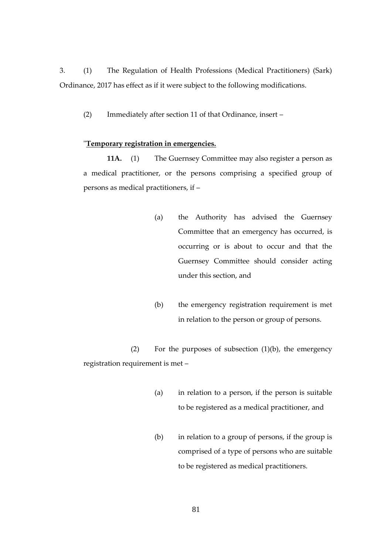3. (1) The Regulation of Health Professions (Medical Practitioners) (Sark) Ordinance, 2017 has effect as if it were subject to the following modifications.

(2) Immediately after section 11 of that Ordinance, insert –

#### "**Temporary registration in emergencies.**

**11A.** (1) The Guernsey Committee may also register a person as a medical practitioner, or the persons comprising a specified group of persons as medical practitioners, if –

- (a) the Authority has advised the Guernsey Committee that an emergency has occurred, is occurring or is about to occur and that the Guernsey Committee should consider acting under this section, and
- (b) the emergency registration requirement is met in relation to the person or group of persons.

(2) For the purposes of subsection (1)(b), the emergency registration requirement is met –

- (a) in relation to a person, if the person is suitable to be registered as a medical practitioner, and
- (b) in relation to a group of persons, if the group is comprised of a type of persons who are suitable to be registered as medical practitioners.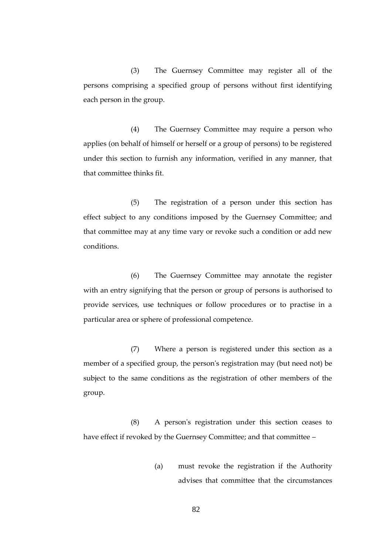(3) The Guernsey Committee may register all of the persons comprising a specified group of persons without first identifying each person in the group.

(4) The Guernsey Committee may require a person who applies (on behalf of himself or herself or a group of persons) to be registered under this section to furnish any information, verified in any manner, that that committee thinks fit.

(5) The registration of a person under this section has effect subject to any conditions imposed by the Guernsey Committee; and that committee may at any time vary or revoke such a condition or add new conditions.

(6) The Guernsey Committee may annotate the register with an entry signifying that the person or group of persons is authorised to provide services, use techniques or follow procedures or to practise in a particular area or sphere of professional competence.

(7) Where a person is registered under this section as a member of a specified group, the person's registration may (but need not) be subject to the same conditions as the registration of other members of the group.

(8) A person's registration under this section ceases to have effect if revoked by the Guernsey Committee; and that committee -

> (a) must revoke the registration if the Authority advises that committee that the circumstances

> > 82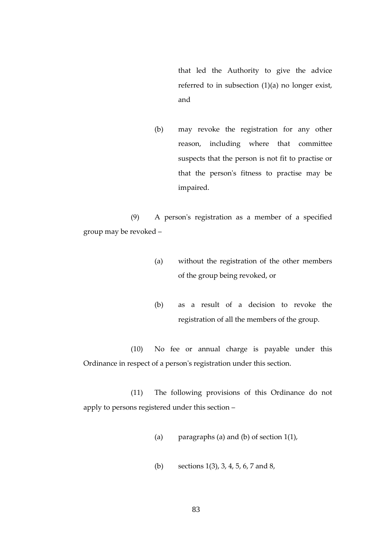that led the Authority to give the advice referred to in subsection (1)(a) no longer exist, and

(b) may revoke the registration for any other reason, including where that committee suspects that the person is not fit to practise or that the person's fitness to practise may be impaired.

(9) A person's registration as a member of a specified group may be revoked –

- (a) without the registration of the other members of the group being revoked, or
- (b) as a result of a decision to revoke the registration of all the members of the group.

(10) No fee or annual charge is payable under this Ordinance in respect of a person's registration under this section.

(11) The following provisions of this Ordinance do not apply to persons registered under this section –

- (a) paragraphs (a) and (b) of section  $1(1)$ ,
- (b) sections 1(3), 3, 4, 5, 6, 7 and 8,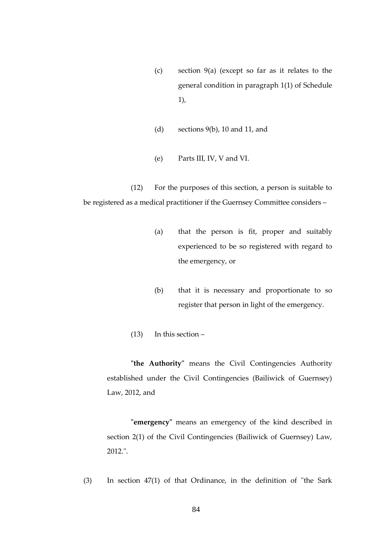- (c) section 9(a) (except so far as it relates to the general condition in paragraph 1(1) of Schedule 1),
- (d) sections 9(b), 10 and 11, and
- (e) Parts III, IV, V and VI.

(12) For the purposes of this section, a person is suitable to be registered as a medical practitioner if the Guernsey Committee considers –

- (a) that the person is fit, proper and suitably experienced to be so registered with regard to the emergency, or
- (b) that it is necessary and proportionate to so register that person in light of the emergency.
- (13) In this section –

**"the Authority"** means the Civil Contingencies Authority established under the Civil Contingencies (Bailiwick of Guernsey) Law, 2012, and

**"emergency"** means an emergency of the kind described in section 2(1) of the Civil Contingencies (Bailiwick of Guernsey) Law, 2012.".

(3) In section 47(1) of that Ordinance, in the definition of "the Sark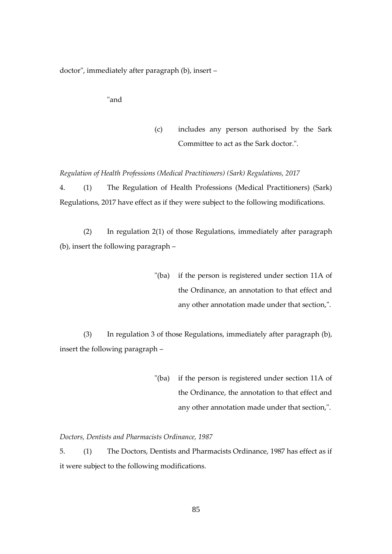doctor", immediately after paragraph (b), insert –

"and

(c) includes any person authorised by the Sark Committee to act as the Sark doctor.".

*Regulation of Health Professions (Medical Practitioners) (Sark) Regulations, 2017*

4. (1) The Regulation of Health Professions (Medical Practitioners) (Sark) Regulations, 2017 have effect as if they were subject to the following modifications.

(2) In regulation 2(1) of those Regulations, immediately after paragraph (b), insert the following paragraph –

> "(ba) if the person is registered under section 11A of the Ordinance, an annotation to that effect and any other annotation made under that section,".

(3) In regulation 3 of those Regulations, immediately after paragraph (b), insert the following paragraph –

> "(ba) if the person is registered under section 11A of the Ordinance, the annotation to that effect and any other annotation made under that section,".

*Doctors, Dentists and Pharmacists Ordinance, 1987*

5. (1) The Doctors, Dentists and Pharmacists Ordinance, 1987 has effect as if it were subject to the following modifications.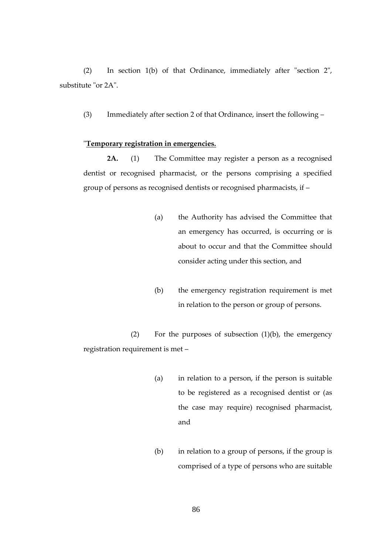(2) In section 1(b) of that Ordinance, immediately after "section 2", substitute "or 2A".

(3) Immediately after section 2 of that Ordinance, insert the following –

#### "**Temporary registration in emergencies.**

**2A.** (1) The Committee may register a person as a recognised dentist or recognised pharmacist, or the persons comprising a specified group of persons as recognised dentists or recognised pharmacists, if –

- (a) the Authority has advised the Committee that an emergency has occurred, is occurring or is about to occur and that the Committee should consider acting under this section, and
- (b) the emergency registration requirement is met in relation to the person or group of persons.

(2) For the purposes of subsection  $(1)(b)$ , the emergency registration requirement is met –

- (a) in relation to a person, if the person is suitable to be registered as a recognised dentist or (as the case may require) recognised pharmacist, and
- (b) in relation to a group of persons, if the group is comprised of a type of persons who are suitable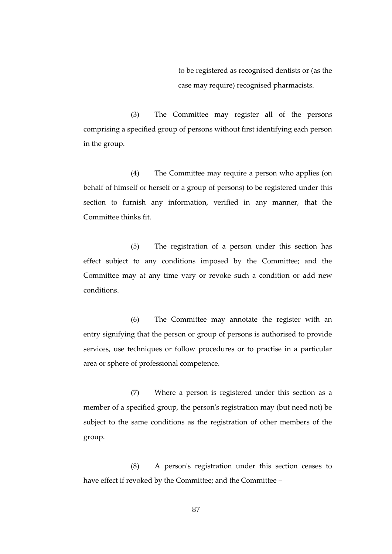to be registered as recognised dentists or (as the case may require) recognised pharmacists.

(3) The Committee may register all of the persons comprising a specified group of persons without first identifying each person in the group.

(4) The Committee may require a person who applies (on behalf of himself or herself or a group of persons) to be registered under this section to furnish any information, verified in any manner, that the Committee thinks fit.

(5) The registration of a person under this section has effect subject to any conditions imposed by the Committee; and the Committee may at any time vary or revoke such a condition or add new conditions.

(6) The Committee may annotate the register with an entry signifying that the person or group of persons is authorised to provide services, use techniques or follow procedures or to practise in a particular area or sphere of professional competence.

(7) Where a person is registered under this section as a member of a specified group, the person's registration may (but need not) be subject to the same conditions as the registration of other members of the group.

(8) A person's registration under this section ceases to have effect if revoked by the Committee; and the Committee –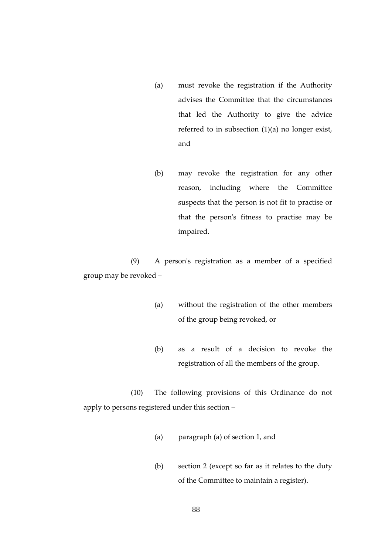- (a) must revoke the registration if the Authority advises the Committee that the circumstances that led the Authority to give the advice referred to in subsection (1)(a) no longer exist, and
- (b) may revoke the registration for any other reason, including where the Committee suspects that the person is not fit to practise or that the person's fitness to practise may be impaired.

(9) A person's registration as a member of a specified group may be revoked –

- (a) without the registration of the other members of the group being revoked, or
- (b) as a result of a decision to revoke the registration of all the members of the group.

(10) The following provisions of this Ordinance do not apply to persons registered under this section –

- (a) paragraph (a) of section 1, and
- (b) section 2 (except so far as it relates to the duty of the Committee to maintain a register).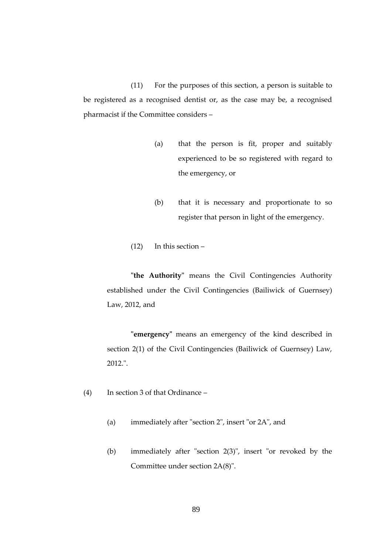(11) For the purposes of this section, a person is suitable to be registered as a recognised dentist or, as the case may be, a recognised pharmacist if the Committee considers –

- (a) that the person is fit, proper and suitably experienced to be so registered with regard to the emergency, or
- (b) that it is necessary and proportionate to so register that person in light of the emergency.
- (12) In this section –

**"the Authority"** means the Civil Contingencies Authority established under the Civil Contingencies (Bailiwick of Guernsey) Law, 2012, and

**"emergency"** means an emergency of the kind described in section 2(1) of the Civil Contingencies (Bailiwick of Guernsey) Law, 2012.".

- (4) In section 3 of that Ordinance
	- (a) immediately after "section 2", insert "or 2A", and
	- (b) immediately after "section 2(3)", insert "or revoked by the Committee under section 2A(8)".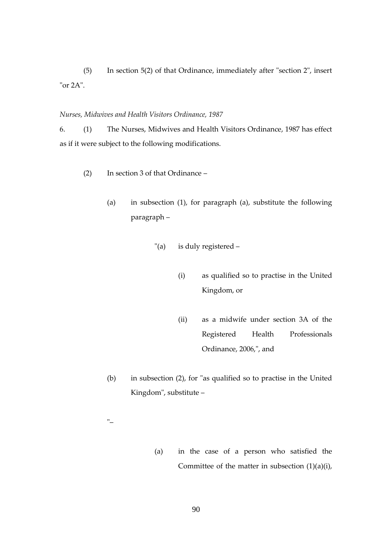(5) In section 5(2) of that Ordinance, immediately after "section 2", insert "or 2A".

*Nurses, Midwives and Health Visitors Ordinance, 1987*

6. (1) The Nurses, Midwives and Health Visitors Ordinance, 1987 has effect as if it were subject to the following modifications.

- (2) In section 3 of that Ordinance
	- (a) in subsection (1), for paragraph (a), substitute the following paragraph –
		- "(a) is duly registered
			- (i) as qualified so to practise in the United Kingdom, or
			- (ii) as a midwife under section 3A of the Registered Health Professionals Ordinance, 2006,", and
	- (b) in subsection (2), for "as qualified so to practise in the United Kingdom", substitute –
	- "–
- (a) in the case of a person who satisfied the Committee of the matter in subsection (1)(a)(i),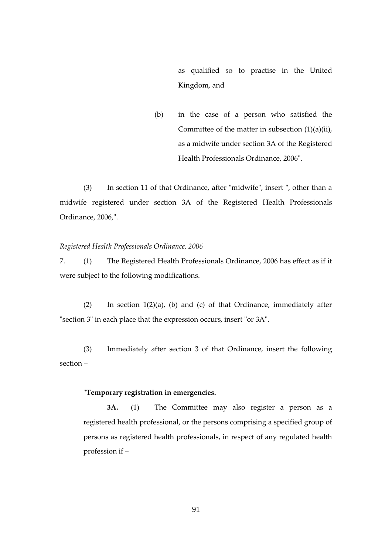as qualified so to practise in the United Kingdom, and

(b) in the case of a person who satisfied the Committee of the matter in subsection (1)(a)(ii), as a midwife under section 3A of the Registered Health Professionals Ordinance, 2006".

(3) In section 11 of that Ordinance, after "midwife", insert ", other than a midwife registered under section 3A of the Registered Health Professionals Ordinance, 2006,".

## *Registered Health Professionals Ordinance, 2006*

7. (1) The Registered Health Professionals Ordinance, 2006 has effect as if it were subject to the following modifications.

(2) In section  $1(2)(a)$ , (b) and (c) of that Ordinance, immediately after "section 3" in each place that the expression occurs, insert "or 3A".

(3) Immediately after section 3 of that Ordinance, insert the following section –

# "**Temporary registration in emergencies.**

**3A.** (1) The Committee may also register a person as a registered health professional, or the persons comprising a specified group of persons as registered health professionals, in respect of any regulated health profession if –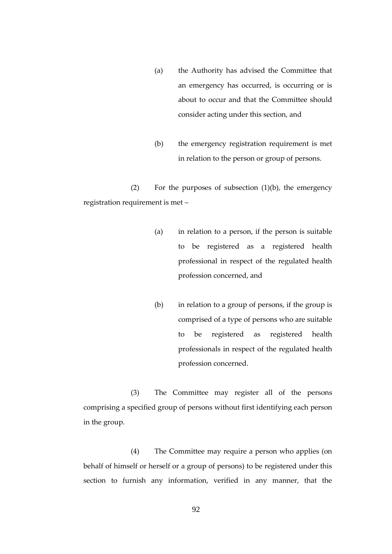- (a) the Authority has advised the Committee that an emergency has occurred, is occurring or is about to occur and that the Committee should consider acting under this section, and
- (b) the emergency registration requirement is met in relation to the person or group of persons.

(2) For the purposes of subsection (1)(b), the emergency registration requirement is met –

- (a) in relation to a person, if the person is suitable to be registered as a registered health professional in respect of the regulated health profession concerned, and
- (b) in relation to a group of persons, if the group is comprised of a type of persons who are suitable to be registered as registered health professionals in respect of the regulated health profession concerned.

(3) The Committee may register all of the persons comprising a specified group of persons without first identifying each person in the group.

(4) The Committee may require a person who applies (on behalf of himself or herself or a group of persons) to be registered under this section to furnish any information, verified in any manner, that the

92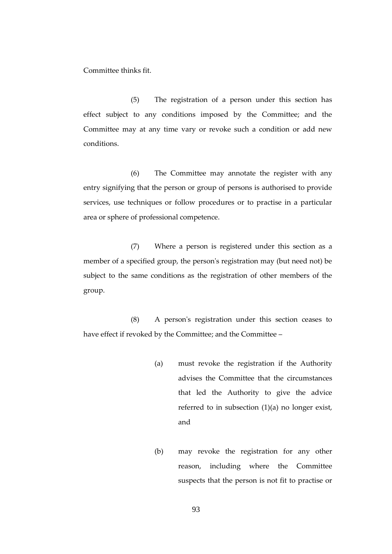Committee thinks fit.

(5) The registration of a person under this section has effect subject to any conditions imposed by the Committee; and the Committee may at any time vary or revoke such a condition or add new conditions.

(6) The Committee may annotate the register with any entry signifying that the person or group of persons is authorised to provide services, use techniques or follow procedures or to practise in a particular area or sphere of professional competence.

(7) Where a person is registered under this section as a member of a specified group, the person's registration may (but need not) be subject to the same conditions as the registration of other members of the group.

(8) A person's registration under this section ceases to have effect if revoked by the Committee; and the Committee –

- (a) must revoke the registration if the Authority advises the Committee that the circumstances that led the Authority to give the advice referred to in subsection (1)(a) no longer exist, and
- (b) may revoke the registration for any other reason, including where the Committee suspects that the person is not fit to practise or

93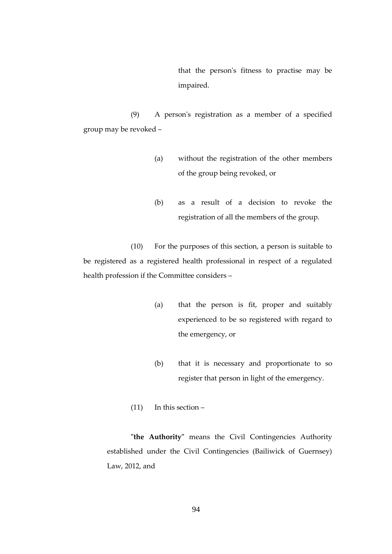that the person's fitness to practise may be impaired.

(9) A person's registration as a member of a specified group may be revoked –

- (a) without the registration of the other members of the group being revoked, or
- (b) as a result of a decision to revoke the registration of all the members of the group.

(10) For the purposes of this section, a person is suitable to be registered as a registered health professional in respect of a regulated health profession if the Committee considers –

- (a) that the person is fit, proper and suitably experienced to be so registered with regard to the emergency, or
- (b) that it is necessary and proportionate to so register that person in light of the emergency.
- (11) In this section –

**"the Authority"** means the Civil Contingencies Authority established under the Civil Contingencies (Bailiwick of Guernsey) Law, 2012, and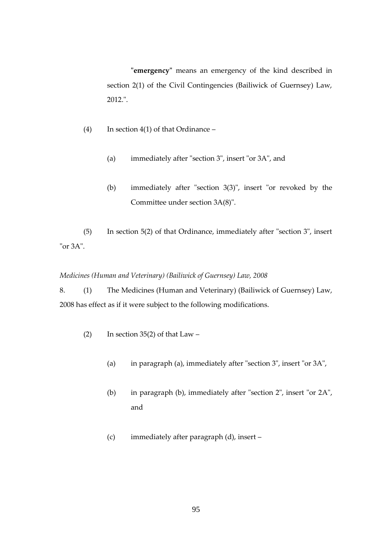**"emergency"** means an emergency of the kind described in section 2(1) of the Civil Contingencies (Bailiwick of Guernsey) Law, 2012.".

- (4) In section 4(1) of that Ordinance
	- (a) immediately after "section 3", insert "or 3A", and
	- (b) immediately after "section 3(3)", insert "or revoked by the Committee under section 3A(8)".

(5) In section 5(2) of that Ordinance, immediately after "section 3", insert "or 3A".

*Medicines (Human and Veterinary) (Bailiwick of Guernsey) Law, 2008*

8. (1) The Medicines (Human and Veterinary) (Bailiwick of Guernsey) Law, 2008 has effect as if it were subject to the following modifications.

- (2) In section 35(2) of that  $Law -$ 
	- (a) in paragraph (a), immediately after "section 3", insert "or 3A",
	- (b) in paragraph (b), immediately after "section 2", insert "or 2A", and
	- (c) immediately after paragraph (d), insert –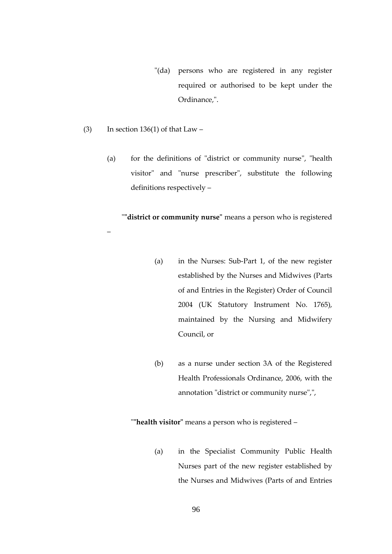- "(da) persons who are registered in any register required or authorised to be kept under the Ordinance,".
- (3) In section 136(1) of that Law  $-$

–

(a) for the definitions of "district or community nurse", "health visitor" and "nurse prescriber", substitute the following definitions respectively –

"**"district or community nurse"** means a person who is registered

- (a) in the Nurses: Sub-Part 1, of the new register established by the Nurses and Midwives (Parts of and Entries in the Register) Order of Council 2004 (UK Statutory Instrument No. 1765), maintained by the Nursing and Midwifery Council, or
- (b) as a nurse under section 3A of the Registered Health Professionals Ordinance, 2006, with the annotation "district or community nurse",",

"**"health visitor"** means a person who is registered –

(a) in the Specialist Community Public Health Nurses part of the new register established by the Nurses and Midwives (Parts of and Entries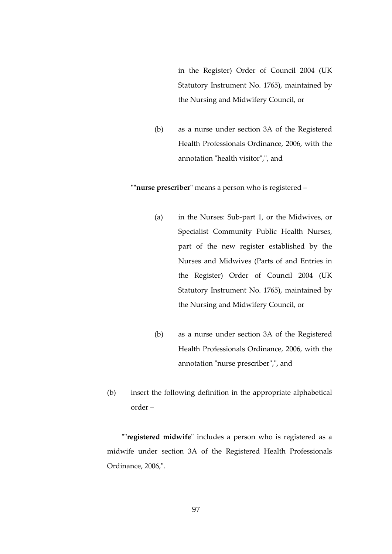in the Register) Order of Council 2004 (UK Statutory Instrument No. 1765), maintained by the Nursing and Midwifery Council, or

(b) as a nurse under section 3A of the Registered Health Professionals Ordinance, 2006, with the annotation "health visitor",", and

**""nurse prescriber"** means a person who is registered –

- (a) in the Nurses: Sub-part 1, or the Midwives, or Specialist Community Public Health Nurses, part of the new register established by the Nurses and Midwives (Parts of and Entries in the Register) Order of Council 2004 (UK Statutory Instrument No. 1765), maintained by the Nursing and Midwifery Council, or
- (b) as a nurse under section 3A of the Registered Health Professionals Ordinance, 2006, with the annotation "nurse prescriber",", and
- (b) insert the following definition in the appropriate alphabetical order –

 ""**registered midwife**" includes a person who is registered as a midwife under section 3A of the Registered Health Professionals Ordinance, 2006,".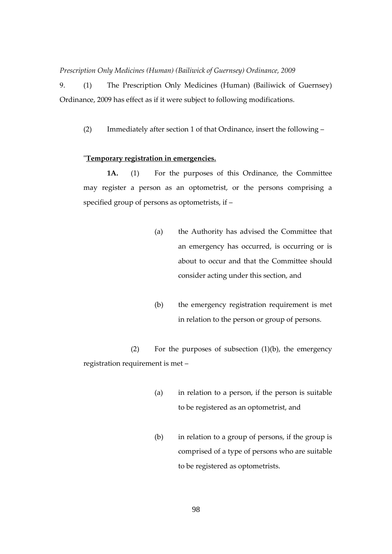*Prescription Only Medicines (Human) (Bailiwick of Guernsey) Ordinance, 2009*

9. (1) The Prescription Only Medicines (Human) (Bailiwick of Guernsey) Ordinance, 2009 has effect as if it were subject to following modifications.

(2) Immediately after section 1 of that Ordinance, insert the following –

# "**Temporary registration in emergencies.**

**1A.** (1) For the purposes of this Ordinance, the Committee may register a person as an optometrist, or the persons comprising a specified group of persons as optometrists, if –

- (a) the Authority has advised the Committee that an emergency has occurred, is occurring or is about to occur and that the Committee should consider acting under this section, and
- (b) the emergency registration requirement is met in relation to the person or group of persons.

(2) For the purposes of subsection (1)(b), the emergency registration requirement is met –

- (a) in relation to a person, if the person is suitable to be registered as an optometrist, and
- (b) in relation to a group of persons, if the group is comprised of a type of persons who are suitable to be registered as optometrists.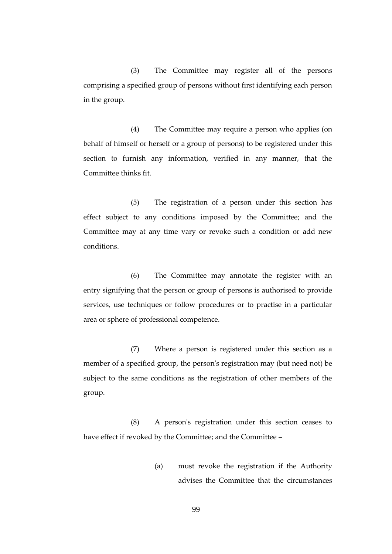(3) The Committee may register all of the persons comprising a specified group of persons without first identifying each person in the group.

(4) The Committee may require a person who applies (on behalf of himself or herself or a group of persons) to be registered under this section to furnish any information, verified in any manner, that the Committee thinks fit.

(5) The registration of a person under this section has effect subject to any conditions imposed by the Committee; and the Committee may at any time vary or revoke such a condition or add new conditions.

(6) The Committee may annotate the register with an entry signifying that the person or group of persons is authorised to provide services, use techniques or follow procedures or to practise in a particular area or sphere of professional competence.

(7) Where a person is registered under this section as a member of a specified group, the person's registration may (but need not) be subject to the same conditions as the registration of other members of the group.

(8) A person's registration under this section ceases to have effect if revoked by the Committee; and the Committee –

> (a) must revoke the registration if the Authority advises the Committee that the circumstances

> > 99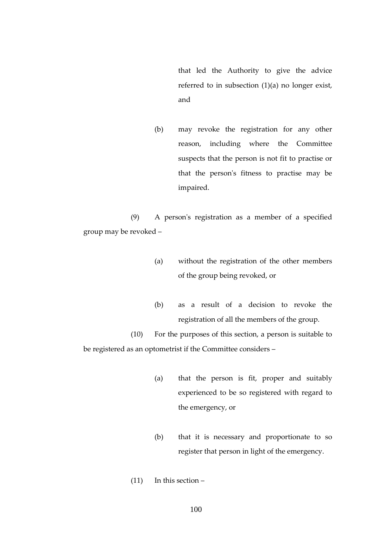that led the Authority to give the advice referred to in subsection (1)(a) no longer exist, and

(b) may revoke the registration for any other reason, including where the Committee suspects that the person is not fit to practise or that the person's fitness to practise may be impaired.

(9) A person's registration as a member of a specified group may be revoked –

- (a) without the registration of the other members of the group being revoked, or
- (b) as a result of a decision to revoke the registration of all the members of the group.

(10) For the purposes of this section, a person is suitable to be registered as an optometrist if the Committee considers –

- (a) that the person is fit, proper and suitably experienced to be so registered with regard to the emergency, or
- (b) that it is necessary and proportionate to so register that person in light of the emergency.
- (11) In this section –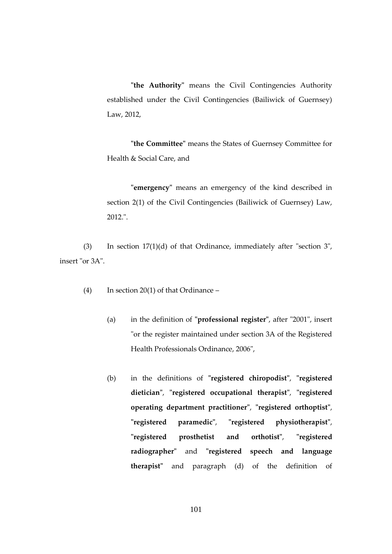**"the Authority"** means the Civil Contingencies Authority established under the Civil Contingencies (Bailiwick of Guernsey) Law, 2012,

**"the Committee"** means the States of Guernsey Committee for Health & Social Care, and

**"emergency"** means an emergency of the kind described in section 2(1) of the Civil Contingencies (Bailiwick of Guernsey) Law, 2012.".

(3) In section 17(1)(d) of that Ordinance, immediately after "section 3", insert "or 3A".

(4) In section 20(1) of that Ordinance –

- (a) in the definition of **"professional register"**, after "2001", insert "or the register maintained under section 3A of the Registered Health Professionals Ordinance, 2006",
- (b) in the definitions of **"registered chiropodist"**, **"registered dietician"**, **"registered occupational therapist"**, **"registered operating department practitioner"**, **"registered orthoptist"**, **"registered paramedic"**, **"registered physiotherapist"**, **"registered prosthetist and orthotist"**, **"registered radiographer"** and **"registered speech and language therapist"** and paragraph (d) of the definition of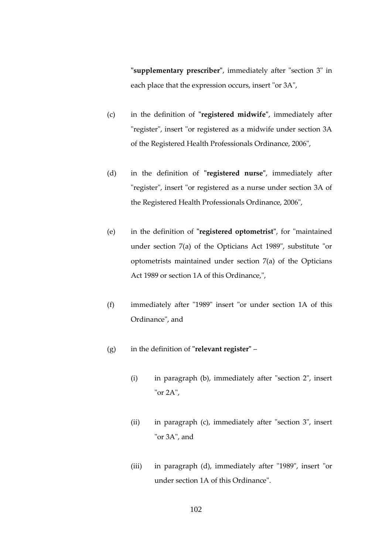**"supplementary prescriber"**, immediately after "section 3" in each place that the expression occurs, insert "or 3A",

- (c) in the definition of **"registered midwife"**, immediately after "register", insert "or registered as a midwife under section 3A of the Registered Health Professionals Ordinance, 2006",
- (d) in the definition of **"registered nurse"**, immediately after "register", insert "or registered as a nurse under section 3A of the Registered Health Professionals Ordinance, 2006",
- (e) in the definition of **"registered optometrist"**, for "maintained under section 7(a) of the Opticians Act 1989", substitute "or optometrists maintained under section 7(a) of the Opticians Act 1989 or section 1A of this Ordinance,",
- (f) immediately after "1989" insert "or under section 1A of this Ordinance", and
- (g) in the definition of **"relevant register"**
	- (i) in paragraph (b), immediately after "section 2", insert "or 2A",
	- (ii) in paragraph (c), immediately after "section 3", insert "or 3A", and
	- (iii) in paragraph (d), immediately after "1989", insert "or under section 1A of this Ordinance".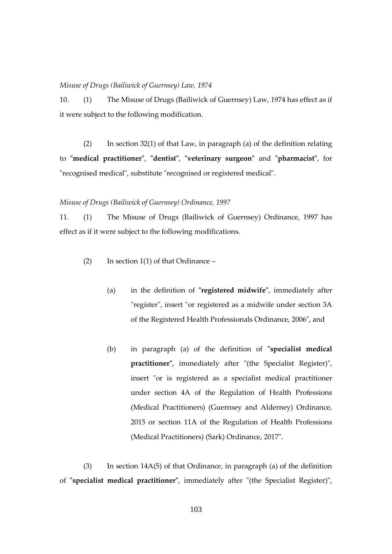#### *Misuse of Drugs (Bailiwick of Guernsey) Law, 1974*

10. (1) The Misuse of Drugs (Bailiwick of Guernsey) Law, 1974 has effect as if it were subject to the following modification.

(2) In section  $32(1)$  of that Law, in paragraph (a) of the definition relating to **"medical practitioner"**, **"dentist"**, **"veterinary surgeon"** and **"pharmacist"**, for "recognised medical", substitute "recognised or registered medical".

#### *Misuse of Drugs (Bailiwick of Guernsey) Ordinance, 1997*

11. (1) The Misuse of Drugs (Bailiwick of Guernsey) Ordinance, 1997 has effect as if it were subject to the following modifications.

- (2) In section 1(1) of that Ordinance  $-$ 
	- (a) in the definition of **"registered midwife"**, immediately after "register", insert "or registered as a midwife under section 3A of the Registered Health Professionals Ordinance, 2006", and
	- (b) in paragraph (a) of the definition of **"specialist medical practitioner"**, immediately after "(the Specialist Register)", insert "or is registered as a specialist medical practitioner under section 4A of the Regulation of Health Professions (Medical Practitioners) (Guernsey and Alderney) Ordinance, 2015 or section 11A of the Regulation of Health Professions (Medical Practitioners) (Sark) Ordinance, 2017".

(3) In section 14A(5) of that Ordinance, in paragraph (a) of the definition of **"specialist medical practitioner"**, immediately after "(the Specialist Register)",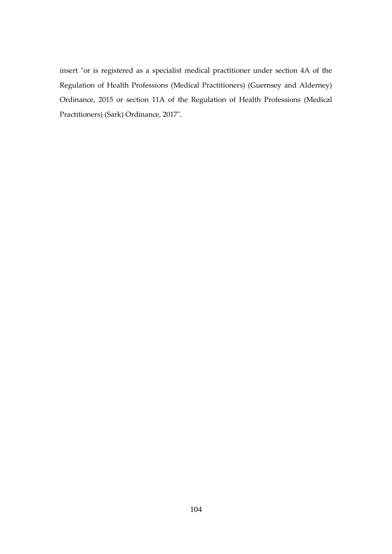insert "or is registered as a specialist medical practitioner under section 4A of the Regulation of Health Professions (Medical Practitioners) (Guernsey and Alderney) Ordinance, 2015 or section 11A of the Regulation of Health Professions (Medical Practitioners) (Sark) Ordinance, 2017".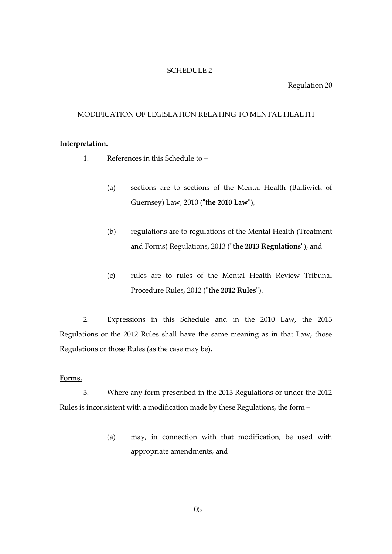#### SCHEDULE 2

### Regulation 20

#### MODIFICATION OF LEGISLATION RELATING TO MENTAL HEALTH

# **Interpretation.**

- 1. References in this Schedule to
	- (a) sections are to sections of the Mental Health (Bailiwick of Guernsey) Law, 2010 (**"the 2010 Law"**),
	- (b) regulations are to regulations of the Mental Health (Treatment and Forms) Regulations, 2013 (**"the 2013 Regulations"**), and
	- (c) rules are to rules of the Mental Health Review Tribunal Procedure Rules, 2012 (**"the 2012 Rules"**).

2. Expressions in this Schedule and in the 2010 Law, the 2013 Regulations or the 2012 Rules shall have the same meaning as in that Law, those Regulations or those Rules (as the case may be).

# **Forms.**

3. Where any form prescribed in the 2013 Regulations or under the 2012 Rules is inconsistent with a modification made by these Regulations, the form –

> (a) may, in connection with that modification, be used with appropriate amendments, and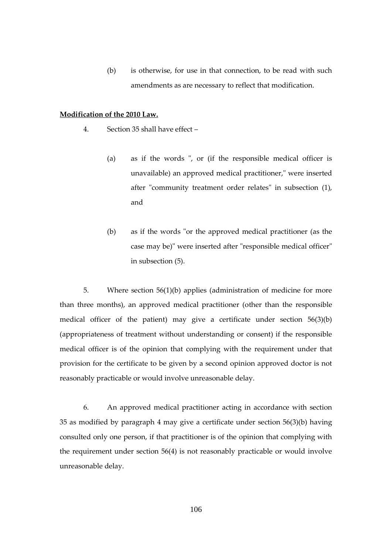(b) is otherwise, for use in that connection, to be read with such amendments as are necessary to reflect that modification.

#### **Modification of the 2010 Law.**

- 4. Section 35 shall have effect
	- (a) as if the words ", or (if the responsible medical officer is unavailable) an approved medical practitioner," were inserted after "community treatment order relates" in subsection (1), and
	- (b) as if the words "or the approved medical practitioner (as the case may be)" were inserted after "responsible medical officer" in subsection (5).

5. Where section 56(1)(b) applies (administration of medicine for more than three months), an approved medical practitioner (other than the responsible medical officer of the patient) may give a certificate under section 56(3)(b) (appropriateness of treatment without understanding or consent) if the responsible medical officer is of the opinion that complying with the requirement under that provision for the certificate to be given by a second opinion approved doctor is not reasonably practicable or would involve unreasonable delay.

6. An approved medical practitioner acting in accordance with section 35 as modified by paragraph 4 may give a certificate under section 56(3)(b) having consulted only one person, if that practitioner is of the opinion that complying with the requirement under section 56(4) is not reasonably practicable or would involve unreasonable delay.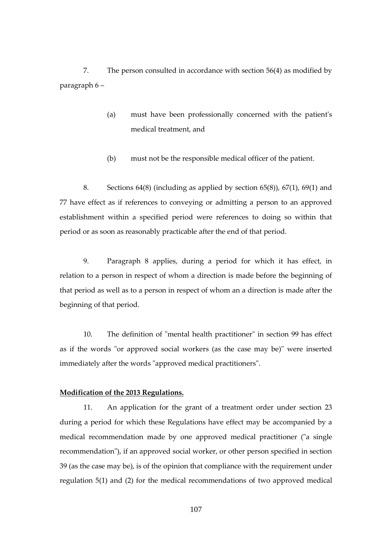7. The person consulted in accordance with section 56(4) as modified by paragraph 6 –

- (a) must have been professionally concerned with the patient's medical treatment, and
- (b) must not be the responsible medical officer of the patient.

8. Sections 64(8) (including as applied by section 65(8)), 67(1), 69(1) and 77 have effect as if references to conveying or admitting a person to an approved establishment within a specified period were references to doing so within that period or as soon as reasonably practicable after the end of that period.

9. Paragraph 8 applies, during a period for which it has effect, in relation to a person in respect of whom a direction is made before the beginning of that period as well as to a person in respect of whom an a direction is made after the beginning of that period.

10. The definition of "mental health practitioner" in section 99 has effect as if the words "or approved social workers (as the case may be)" were inserted immediately after the words "approved medical practitioners".

# **Modification of the 2013 Regulations.**

11. An application for the grant of a treatment order under section 23 during a period for which these Regulations have effect may be accompanied by a medical recommendation made by one approved medical practitioner ("a single recommendation"), if an approved social worker, or other person specified in section 39 (as the case may be), is of the opinion that compliance with the requirement under regulation 5(1) and (2) for the medical recommendations of two approved medical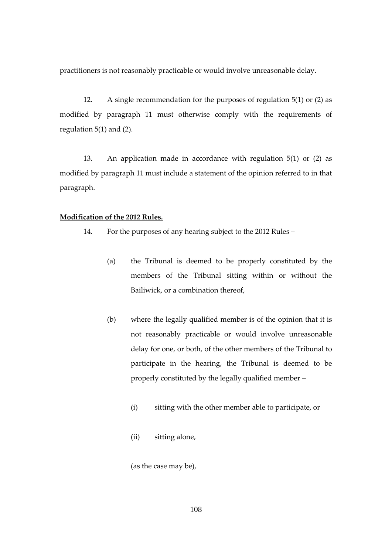practitioners is not reasonably practicable or would involve unreasonable delay.

12. A single recommendation for the purposes of regulation 5(1) or (2) as modified by paragraph 11 must otherwise comply with the requirements of regulation 5(1) and (2).

13. An application made in accordance with regulation 5(1) or (2) as modified by paragraph 11 must include a statement of the opinion referred to in that paragraph.

#### **Modification of the 2012 Rules.**

- 14. For the purposes of any hearing subject to the 2012 Rules
	- (a) the Tribunal is deemed to be properly constituted by the members of the Tribunal sitting within or without the Bailiwick, or a combination thereof,
	- (b) where the legally qualified member is of the opinion that it is not reasonably practicable or would involve unreasonable delay for one, or both, of the other members of the Tribunal to participate in the hearing, the Tribunal is deemed to be properly constituted by the legally qualified member –
		- (i) sitting with the other member able to participate, or
		- (ii) sitting alone,

(as the case may be),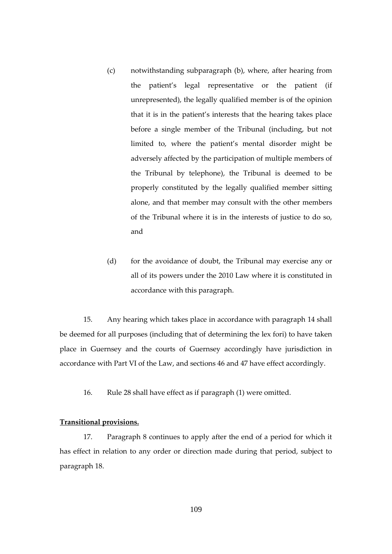- (c) notwithstanding subparagraph (b), where, after hearing from the patient's legal representative or the patient (if unrepresented), the legally qualified member is of the opinion that it is in the patient's interests that the hearing takes place before a single member of the Tribunal (including, but not limited to, where the patient's mental disorder might be adversely affected by the participation of multiple members of the Tribunal by telephone), the Tribunal is deemed to be properly constituted by the legally qualified member sitting alone, and that member may consult with the other members of the Tribunal where it is in the interests of justice to do so, and
- (d) for the avoidance of doubt, the Tribunal may exercise any or all of its powers under the 2010 Law where it is constituted in accordance with this paragraph.

15. Any hearing which takes place in accordance with paragraph 14 shall be deemed for all purposes (including that of determining the lex fori) to have taken place in Guernsey and the courts of Guernsey accordingly have jurisdiction in accordance with Part VI of the Law, and sections 46 and 47 have effect accordingly.

16. Rule 28 shall have effect as if paragraph (1) were omitted.

#### **Transitional provisions.**

17. Paragraph 8 continues to apply after the end of a period for which it has effect in relation to any order or direction made during that period, subject to paragraph 18.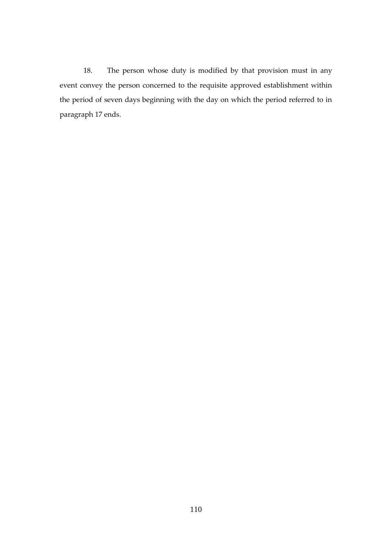18. The person whose duty is modified by that provision must in any event convey the person concerned to the requisite approved establishment within the period of seven days beginning with the day on which the period referred to in paragraph 17 ends.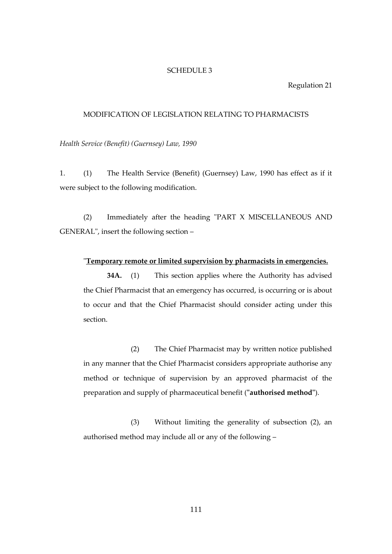#### SCHEDULE 3

#### Regulation 21

#### MODIFICATION OF LEGISLATION RELATING TO PHARMACISTS

*Health Service (Benefit) (Guernsey) Law, 1990*

1. (1) The Health Service (Benefit) (Guernsey) Law, 1990 has effect as if it were subject to the following modification.

(2) Immediately after the heading "PART X MISCELLANEOUS AND GENERAL", insert the following section –

#### "**Temporary remote or limited supervision by pharmacists in emergencies.**

**34A.** (1) This section applies where the Authority has advised the Chief Pharmacist that an emergency has occurred, is occurring or is about to occur and that the Chief Pharmacist should consider acting under this section.

(2) The Chief Pharmacist may by written notice published in any manner that the Chief Pharmacist considers appropriate authorise any method or technique of supervision by an approved pharmacist of the preparation and supply of pharmaceutical benefit (**"authorised method"**).

(3) Without limiting the generality of subsection (2), an authorised method may include all or any of the following –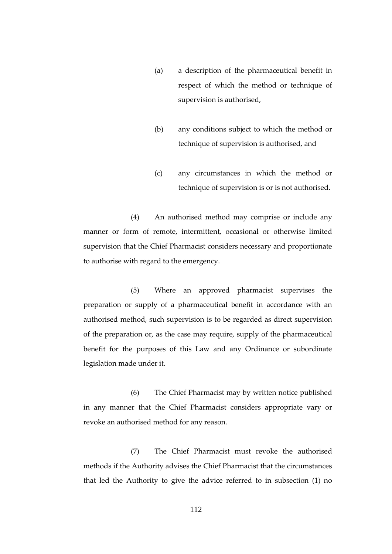- (a) a description of the pharmaceutical benefit in respect of which the method or technique of supervision is authorised,
- (b) any conditions subject to which the method or technique of supervision is authorised, and
- (c) any circumstances in which the method or technique of supervision is or is not authorised.

(4) An authorised method may comprise or include any manner or form of remote, intermittent, occasional or otherwise limited supervision that the Chief Pharmacist considers necessary and proportionate to authorise with regard to the emergency.

(5) Where an approved pharmacist supervises the preparation or supply of a pharmaceutical benefit in accordance with an authorised method, such supervision is to be regarded as direct supervision of the preparation or, as the case may require, supply of the pharmaceutical benefit for the purposes of this Law and any Ordinance or subordinate legislation made under it.

(6) The Chief Pharmacist may by written notice published in any manner that the Chief Pharmacist considers appropriate vary or revoke an authorised method for any reason.

(7) The Chief Pharmacist must revoke the authorised methods if the Authority advises the Chief Pharmacist that the circumstances that led the Authority to give the advice referred to in subsection (1) no

112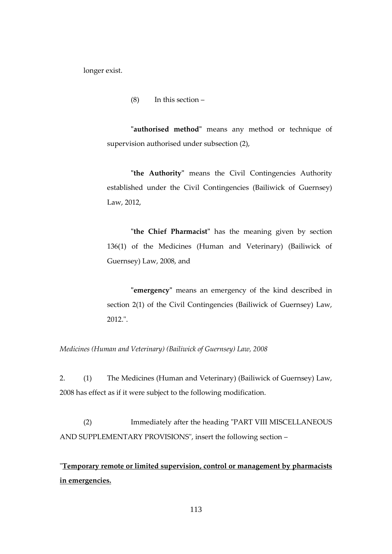longer exist.

(8) In this section –

**"authorised method"** means any method or technique of supervision authorised under subsection (2),

**"the Authority"** means the Civil Contingencies Authority established under the Civil Contingencies (Bailiwick of Guernsey) Law, 2012,

**"the Chief Pharmacist"** has the meaning given by section 136(1) of the Medicines (Human and Veterinary) (Bailiwick of Guernsey) Law, 2008, and

**"emergency"** means an emergency of the kind described in section 2(1) of the Civil Contingencies (Bailiwick of Guernsey) Law, 2012.".

*Medicines (Human and Veterinary) (Bailiwick of Guernsey) Law, 2008*

2. (1) The Medicines (Human and Veterinary) (Bailiwick of Guernsey) Law, 2008 has effect as if it were subject to the following modification.

(2) Immediately after the heading "PART VIII MISCELLANEOUS AND SUPPLEMENTARY PROVISIONS", insert the following section –

"**Temporary remote or limited supervision, control or management by pharmacists in emergencies.**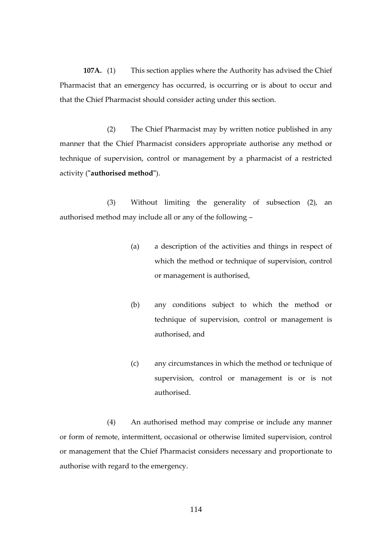**107A.** (1) This section applies where the Authority has advised the Chief Pharmacist that an emergency has occurred, is occurring or is about to occur and that the Chief Pharmacist should consider acting under this section.

(2) The Chief Pharmacist may by written notice published in any manner that the Chief Pharmacist considers appropriate authorise any method or technique of supervision, control or management by a pharmacist of a restricted activity (**"authorised method"**).

(3) Without limiting the generality of subsection (2), an authorised method may include all or any of the following –

- (a) a description of the activities and things in respect of which the method or technique of supervision, control or management is authorised,
- (b) any conditions subject to which the method or technique of supervision, control or management is authorised, and
- (c) any circumstances in which the method or technique of supervision, control or management is or is not authorised.

(4) An authorised method may comprise or include any manner or form of remote, intermittent, occasional or otherwise limited supervision, control or management that the Chief Pharmacist considers necessary and proportionate to authorise with regard to the emergency.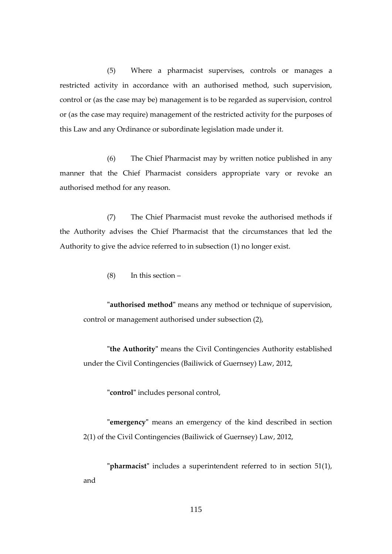(5) Where a pharmacist supervises, controls or manages a restricted activity in accordance with an authorised method, such supervision, control or (as the case may be) management is to be regarded as supervision, control or (as the case may require) management of the restricted activity for the purposes of this Law and any Ordinance or subordinate legislation made under it.

(6) The Chief Pharmacist may by written notice published in any manner that the Chief Pharmacist considers appropriate vary or revoke an authorised method for any reason.

(7) The Chief Pharmacist must revoke the authorised methods if the Authority advises the Chief Pharmacist that the circumstances that led the Authority to give the advice referred to in subsection (1) no longer exist.

(8) In this section –

**"authorised method"** means any method or technique of supervision, control or management authorised under subsection (2),

**"the Authority"** means the Civil Contingencies Authority established under the Civil Contingencies (Bailiwick of Guernsey) Law, 2012,

**"control"** includes personal control,

**"emergency"** means an emergency of the kind described in section 2(1) of the Civil Contingencies (Bailiwick of Guernsey) Law, 2012,

**"pharmacist"** includes a superintendent referred to in section 51(1), and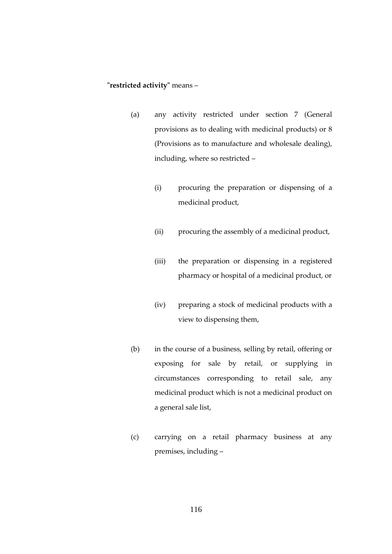## **"restricted activity"** means –

- (a) any activity restricted under section 7 (General provisions as to dealing with medicinal products) or 8 (Provisions as to manufacture and wholesale dealing), including, where so restricted –
	- (i) procuring the preparation or dispensing of a medicinal product,
	- (ii) procuring the assembly of a medicinal product,
	- (iii) the preparation or dispensing in a registered pharmacy or hospital of a medicinal product, or
	- (iv) preparing a stock of medicinal products with a view to dispensing them,
- (b) in the course of a business, selling by retail, offering or exposing for sale by retail, or supplying in circumstances corresponding to retail sale, any medicinal product which is not a medicinal product on a general sale list,
- (c) carrying on a retail pharmacy business at any premises, including –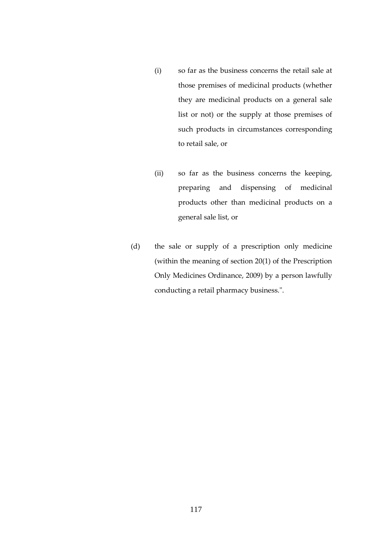- (i) so far as the business concerns the retail sale at those premises of medicinal products (whether they are medicinal products on a general sale list or not) or the supply at those premises of such products in circumstances corresponding to retail sale, or
- (ii) so far as the business concerns the keeping, preparing and dispensing of medicinal products other than medicinal products on a general sale list, or
- (d) the sale or supply of a prescription only medicine (within the meaning of section 20(1) of the Prescription Only Medicines Ordinance, 2009) by a person lawfully conducting a retail pharmacy business.".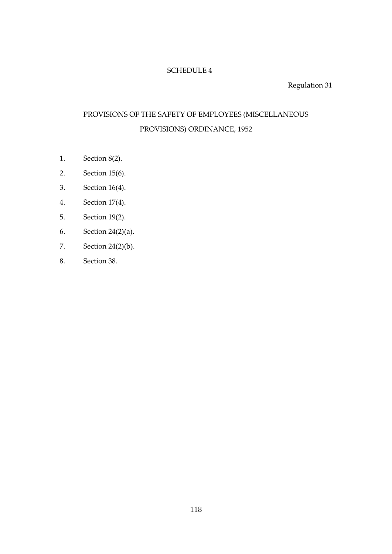# SCHEDULE 4

Regulation 31

# PROVISIONS OF THE SAFETY OF EMPLOYEES (MISCELLANEOUS PROVISIONS) ORDINANCE, 1952

- 1. Section 8(2).
- 2. Section 15(6).
- 3. Section 16(4).
- 4. Section 17(4).
- 5. Section 19(2).
- 6. Section 24(2)(a).
- 7. Section 24(2)(b).
- 8. Section 38.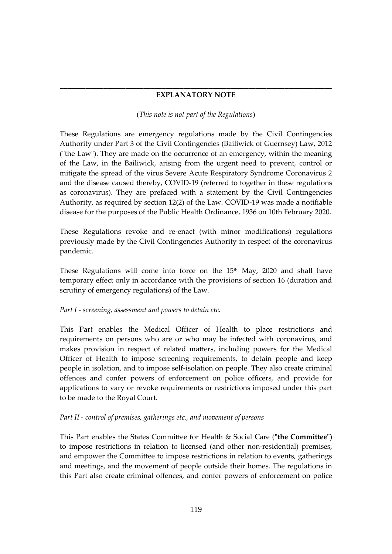## \_\_\_\_\_\_\_\_\_\_\_\_\_\_\_\_\_\_\_\_\_\_\_\_\_\_\_\_\_\_\_\_\_\_\_\_\_\_\_\_\_\_\_\_\_\_\_\_\_\_\_\_\_\_\_\_\_\_\_\_\_\_\_\_\_\_\_\_\_\_\_\_\_\_\_ **EXPLANATORY NOTE**

## (*This note is not part of the Regulations*)

These Regulations are emergency regulations made by the Civil Contingencies Authority under Part 3 of the Civil Contingencies (Bailiwick of Guernsey) Law, 2012 ("the Law"). They are made on the occurrence of an emergency, within the meaning of the Law, in the Bailiwick, arising from the urgent need to prevent, control or mitigate the spread of the virus Severe Acute Respiratory Syndrome Coronavirus 2 and the disease caused thereby, COVID-19 (referred to together in these regulations as coronavirus). They are prefaced with a statement by the Civil Contingencies Authority, as required by section 12(2) of the Law. COVID-19 was made a notifiable disease for the purposes of the Public Health Ordinance, 1936 on 10th February 2020.

These Regulations revoke and re-enact (with minor modifications) regulations previously made by the Civil Contingencies Authority in respect of the coronavirus pandemic.

These Regulations will come into force on the  $15<sup>th</sup>$  May, 2020 and shall have temporary effect only in accordance with the provisions of section 16 (duration and scrutiny of emergency regulations) of the Law.

# *Part I - screening, assessment and powers to detain etc.*

This Part enables the Medical Officer of Health to place restrictions and requirements on persons who are or who may be infected with coronavirus, and makes provision in respect of related matters, including powers for the Medical Officer of Health to impose screening requirements, to detain people and keep people in isolation, and to impose self-isolation on people. They also create criminal offences and confer powers of enforcement on police officers, and provide for applications to vary or revoke requirements or restrictions imposed under this part to be made to the Royal Court.

# *Part II - control of premises, gatherings etc., and movement of persons*

This Part enables the States Committee for Health & Social Care (**"the Committee"**) to impose restrictions in relation to licensed (and other non-residential) premises, and empower the Committee to impose restrictions in relation to events, gatherings and meetings, and the movement of people outside their homes. The regulations in this Part also create criminal offences, and confer powers of enforcement on police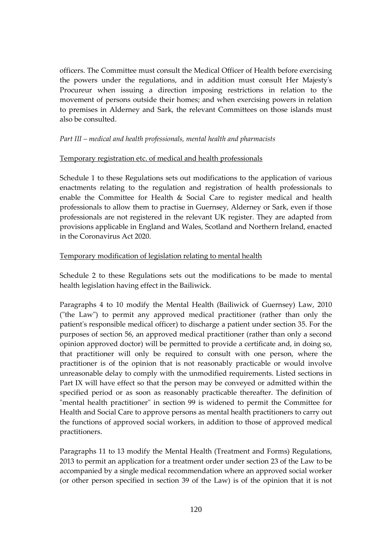officers. The Committee must consult the Medical Officer of Health before exercising the powers under the regulations, and in addition must consult Her Majesty's Procureur when issuing a direction imposing restrictions in relation to the movement of persons outside their homes; and when exercising powers in relation to premises in Alderney and Sark, the relevant Committees on those islands must also be consulted.

## *Part III – medical and health professionals, mental health and pharmacists*

## Temporary registration etc. of medical and health professionals

Schedule 1 to these Regulations sets out modifications to the application of various enactments relating to the regulation and registration of health professionals to enable the Committee for Health & Social Care to register medical and health professionals to allow them to practise in Guernsey, Alderney or Sark, even if those professionals are not registered in the relevant UK register. They are adapted from provisions applicable in England and Wales, Scotland and Northern Ireland, enacted in the Coronavirus Act 2020.

## Temporary modification of legislation relating to mental health

Schedule 2 to these Regulations sets out the modifications to be made to mental health legislation having effect in the Bailiwick.

Paragraphs 4 to 10 modify the Mental Health (Bailiwick of Guernsey) Law, 2010 ("the Law") to permit any approved medical practitioner (rather than only the patient's responsible medical officer) to discharge a patient under section 35. For the purposes of section 56, an approved medical practitioner (rather than only a second opinion approved doctor) will be permitted to provide a certificate and, in doing so, that practitioner will only be required to consult with one person, where the practitioner is of the opinion that is not reasonably practicable or would involve unreasonable delay to comply with the unmodified requirements. Listed sections in Part IX will have effect so that the person may be conveyed or admitted within the specified period or as soon as reasonably practicable thereafter. The definition of "mental health practitioner" in section 99 is widened to permit the Committee for Health and Social Care to approve persons as mental health practitioners to carry out the functions of approved social workers, in addition to those of approved medical practitioners.

Paragraphs 11 to 13 modify the Mental Health (Treatment and Forms) Regulations, 2013 to permit an application for a treatment order under section 23 of the Law to be accompanied by a single medical recommendation where an approved social worker (or other person specified in section 39 of the Law) is of the opinion that it is not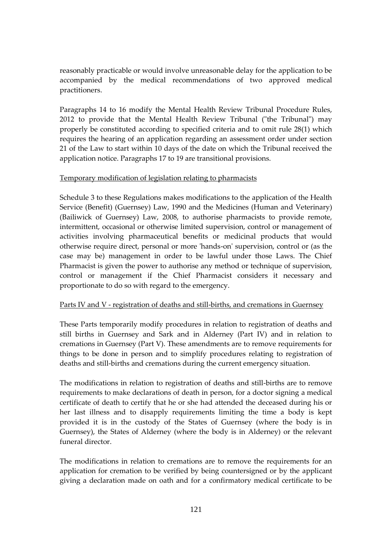reasonably practicable or would involve unreasonable delay for the application to be accompanied by the medical recommendations of two approved medical practitioners.

Paragraphs 14 to 16 modify the Mental Health Review Tribunal Procedure Rules, 2012 to provide that the Mental Health Review Tribunal ("the Tribunal") may properly be constituted according to specified criteria and to omit rule 28(1) which requires the hearing of an application regarding an assessment order under section 21 of the Law to start within 10 days of the date on which the Tribunal received the application notice. Paragraphs 17 to 19 are transitional provisions.

## Temporary modification of legislation relating to pharmacists

Schedule 3 to these Regulations makes modifications to the application of the Health Service (Benefit) (Guernsey) Law, 1990 and the Medicines (Human and Veterinary) (Bailiwick of Guernsey) Law, 2008, to authorise pharmacists to provide remote, intermittent, occasional or otherwise limited supervision, control or management of activities involving pharmaceutical benefits or medicinal products that would otherwise require direct, personal or more 'hands-on' supervision, control or (as the case may be) management in order to be lawful under those Laws. The Chief Pharmacist is given the power to authorise any method or technique of supervision, control or management if the Chief Pharmacist considers it necessary and proportionate to do so with regard to the emergency.

# Parts IV and V - registration of deaths and still-births, and cremations in Guernsey

These Parts temporarily modify procedures in relation to registration of deaths and still births in Guernsey and Sark and in Alderney (Part IV) and in relation to cremations in Guernsey (Part V). These amendments are to remove requirements for things to be done in person and to simplify procedures relating to registration of deaths and still-births and cremations during the current emergency situation.

The modifications in relation to registration of deaths and still-births are to remove requirements to make declarations of death in person, for a doctor signing a medical certificate of death to certify that he or she had attended the deceased during his or her last illness and to disapply requirements limiting the time a body is kept provided it is in the custody of the States of Guernsey (where the body is in Guernsey), the States of Alderney (where the body is in Alderney) or the relevant funeral director.

The modifications in relation to cremations are to remove the requirements for an application for cremation to be verified by being countersigned or by the applicant giving a declaration made on oath and for a confirmatory medical certificate to be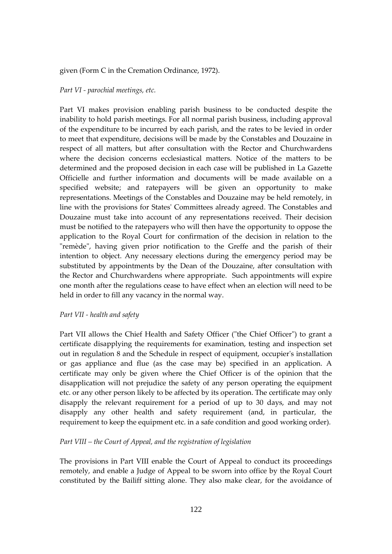#### given (Form C in the Cremation Ordinance, 1972).

#### *Part VI - parochial meetings, etc.*

Part VI makes provision enabling parish business to be conducted despite the inability to hold parish meetings. For all normal parish business, including approval of the expenditure to be incurred by each parish, and the rates to be levied in order to meet that expenditure, decisions will be made by the Constables and Douzaine in respect of all matters, but after consultation with the Rector and Churchwardens where the decision concerns ecclesiastical matters. Notice of the matters to be determined and the proposed decision in each case will be published in La Gazette Officielle and further information and documents will be made available on a specified website; and ratepayers will be given an opportunity to make representations. Meetings of the Constables and Douzaine may be held remotely, in line with the provisions for States' Committees already agreed. The Constables and Douzaine must take into account of any representations received. Their decision must be notified to the ratepayers who will then have the opportunity to oppose the application to the Royal Court for confirmation of the decision in relation to the "remède", having given prior notification to the Greffe and the parish of their intention to object. Any necessary elections during the emergency period may be substituted by appointments by the Dean of the Douzaine, after consultation with the Rector and Churchwardens where appropriate. Such appointments will expire one month after the regulations cease to have effect when an election will need to be held in order to fill any vacancy in the normal way.

#### *Part VII - health and safety*

Part VII allows the Chief Health and Safety Officer ("the Chief Officer") to grant a certificate disapplying the requirements for examination, testing and inspection set out in regulation 8 and the Schedule in respect of equipment, occupier's installation or gas appliance and flue (as the case may be) specified in an application. A certificate may only be given where the Chief Officer is of the opinion that the disapplication will not prejudice the safety of any person operating the equipment etc. or any other person likely to be affected by its operation. The certificate may only disapply the relevant requirement for a period of up to 30 days, and may not disapply any other health and safety requirement (and, in particular, the requirement to keep the equipment etc. in a safe condition and good working order).

#### *Part VIII – the Court of Appeal, and the registration of legislation*

The provisions in Part VIII enable the Court of Appeal to conduct its proceedings remotely, and enable a Judge of Appeal to be sworn into office by the Royal Court constituted by the Bailiff sitting alone. They also make clear, for the avoidance of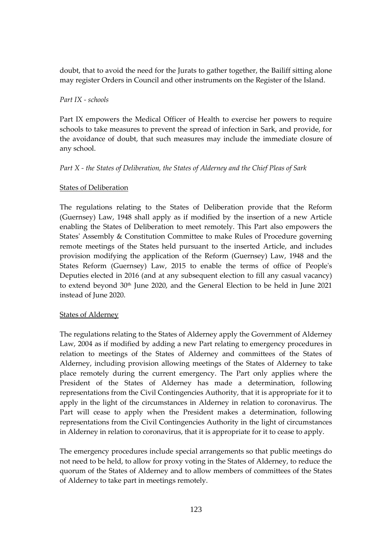doubt, that to avoid the need for the Jurats to gather together, the Bailiff sitting alone may register Orders in Council and other instruments on the Register of the Island.

# *Part IX - schools*

Part IX empowers the Medical Officer of Health to exercise her powers to require schools to take measures to prevent the spread of infection in Sark, and provide, for the avoidance of doubt, that such measures may include the immediate closure of any school.

# *Part X - the States of Deliberation, the States of Alderney and the Chief Pleas of Sark*

## States of Deliberation

The regulations relating to the States of Deliberation provide that the Reform (Guernsey) Law, 1948 shall apply as if modified by the insertion of a new Article enabling the States of Deliberation to meet remotely. This Part also empowers the States' Assembly & Constitution Committee to make Rules of Procedure governing remote meetings of the States held pursuant to the inserted Article, and includes provision modifying the application of the Reform (Guernsey) Law, 1948 and the States Reform (Guernsey) Law, 2015 to enable the terms of office of People's Deputies elected in 2016 (and at any subsequent election to fill any casual vacancy) to extend beyond 30<sup>th</sup> June 2020, and the General Election to be held in June 2021 instead of June 2020.

#### **States of Alderney**

The regulations relating to the States of Alderney apply the Government of Alderney Law, 2004 as if modified by adding a new Part relating to emergency procedures in relation to meetings of the States of Alderney and committees of the States of Alderney, including provision allowing meetings of the States of Alderney to take place remotely during the current emergency. The Part only applies where the President of the States of Alderney has made a determination, following representations from the Civil Contingencies Authority, that it is appropriate for it to apply in the light of the circumstances in Alderney in relation to coronavirus. The Part will cease to apply when the President makes a determination, following representations from the Civil Contingencies Authority in the light of circumstances in Alderney in relation to coronavirus, that it is appropriate for it to cease to apply.

The emergency procedures include special arrangements so that public meetings do not need to be held, to allow for proxy voting in the States of Alderney, to reduce the quorum of the States of Alderney and to allow members of committees of the States of Alderney to take part in meetings remotely.